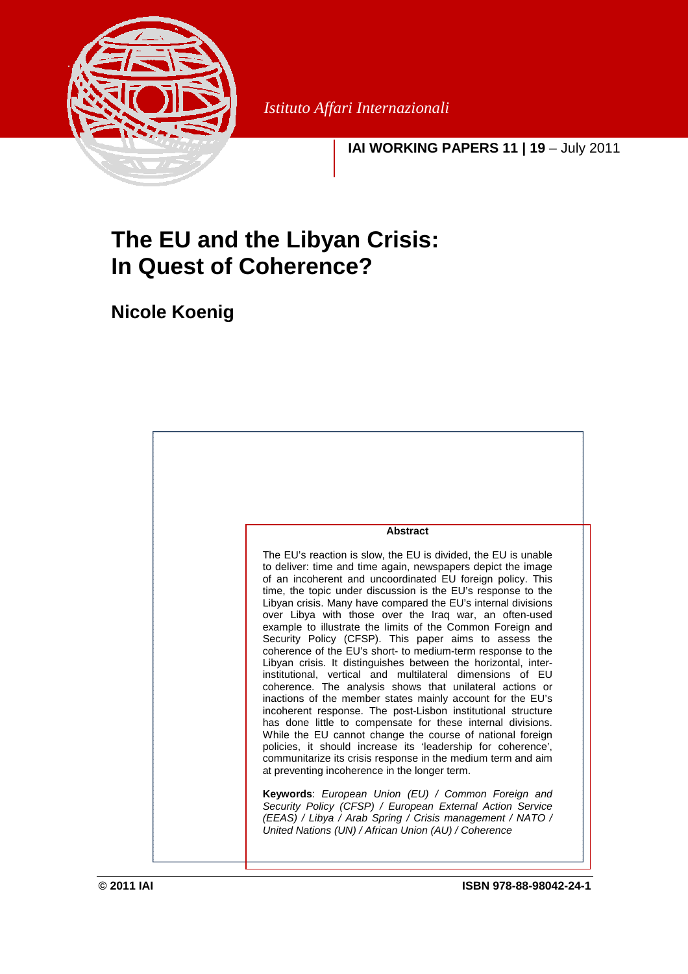

*Istituto Affari Internazionali*

**IAI WORKING PAPERS 11 | 19** – July 2011

# **The EU and the Libyan Crisis: In Quest of Coherence?**

**Nicole Koenig** 

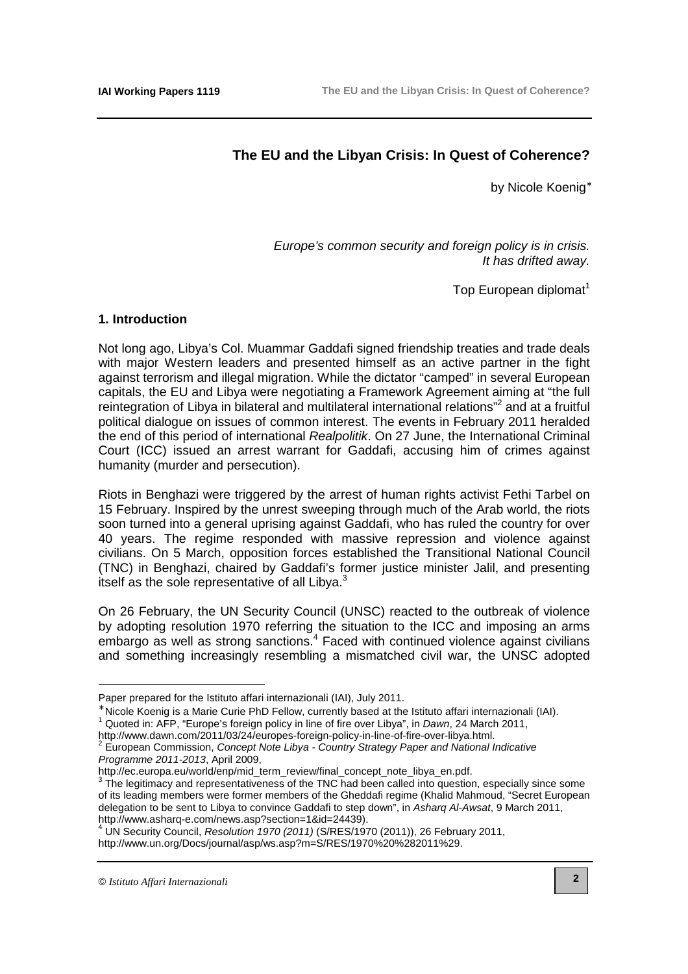# **The EU and the Libyan Crisis: In Quest of Coherence?**

by Nicole Koenig<sup>∗</sup>

Europe's common security and foreign policy is in crisis. It has drifted away.

Top European diplomat $1$ 

# **1. Introduction**

Not long ago, Libya's Col. Muammar Gaddafi signed friendship treaties and trade deals with major Western leaders and presented himself as an active partner in the fight against terrorism and illegal migration. While the dictator "camped" in several European capitals, the EU and Libya were negotiating a Framework Agreement aiming at "the full reintegration of Libya in bilateral and multilateral international relations"<sup>2</sup> and at a fruitful political dialogue on issues of common interest. The events in February 2011 heralded the end of this period of international Realpolitik. On 27 June, the International Criminal Court (ICC) issued an arrest warrant for Gaddafi, accusing him of crimes against humanity (murder and persecution).

Riots in Benghazi were triggered by the arrest of human rights activist Fethi Tarbel on 15 February. Inspired by the unrest sweeping through much of the Arab world, the riots soon turned into a general uprising against Gaddafi, who has ruled the country for over 40 years. The regime responded with massive repression and violence against civilians. On 5 March, opposition forces established the Transitional National Council (TNC) in Benghazi, chaired by Gaddafi's former justice minister Jalil, and presenting itself as the sole representative of all Libya. $3$ 

On 26 February, the UN Security Council (UNSC) reacted to the outbreak of violence by adopting resolution 1970 referring the situation to the ICC and imposing an arms embargo as well as strong sanctions.<sup>4</sup> Faced with continued violence against civilians and something increasingly resembling a mismatched civil war, the UNSC adopted

 $4$  UN Security Council, Resolution 1970 (2011) (S/RES/1970 (2011)), 26 February 2011, [http://www.un.org/Docs/journal/asp/ws.asp?m=S/RES/1970%20%282011%29.](http://www.un.org/Docs/journal/asp/ws.asp?m=S/RES/1970%20%282011%29)

Paper prepared for the Istituto affari internazionali (IAI), July 2011.

<sup>∗</sup> Nicole Koenig is a Marie Curie PhD Fellow, currently based at the Istituto affari internazionali (IAI).

<sup>&</sup>lt;sup>1</sup> Quoted in: AFP, "Europe's foreign policy in line of fire over Libya", in Dawn, 24 March 2011,

[http://www.dawn.com/2011/03/24/europes-foreign-policy-in-line-of-fire-over-libya.html.](http://www.dawn.com/2011/03/24/europes-foreign-policy-in-line-of-fire-over-libya.html)<br><sup>2</sup> European Commission, *Concept Note Libye, Country Strategy Paper and Notional I*l

European Commission, Concept Note Libya - Country Strategy Paper and National Indicative Programme 2011-2013, April 2009,

[http://ec.europa.eu/world/enp/mid\\_term\\_review/final\\_concept\\_note\\_libya\\_en.pdf.](http://ec.europa.eu/world/enp/mid_term_review/final_concept_note_libya_en.pdf) 

 $3$  The legitimacy and representativeness of the TNC had been called into question, especially since some of its leading members were former members of the Gheddafi regime (Khalid Mahmoud, "Secret European delegation to be sent to Libya to convince Gaddafi to step down", in Asharq Al-Awsat, 9 March 2011, [http://www.asharq-e.com/news.asp?section=1&id=24439\).](http://www.asharq-e.com/news.asp?section=1&id=24439)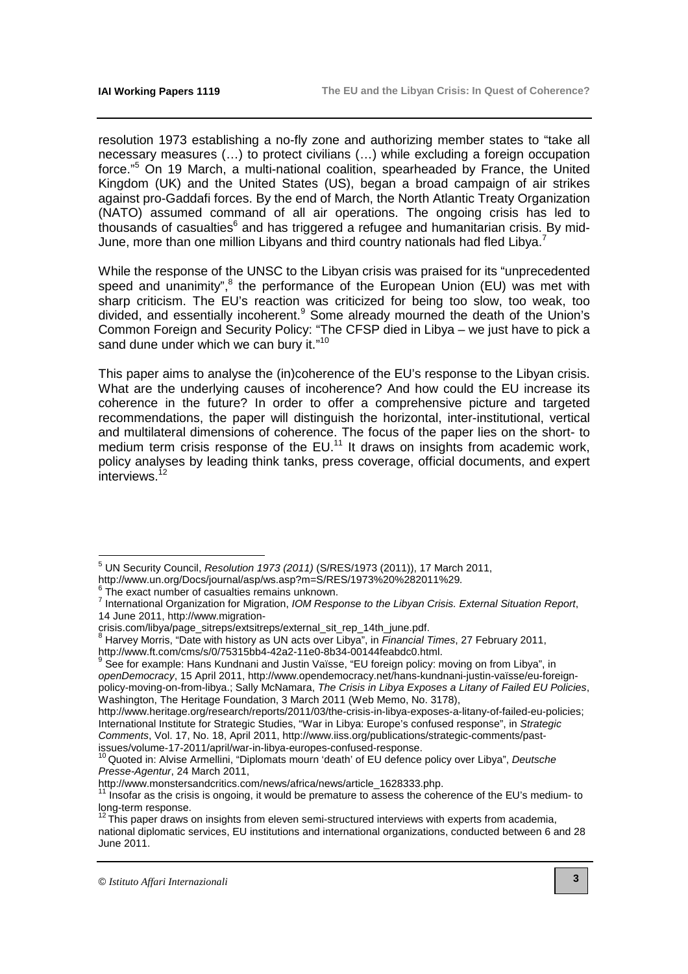resolution 1973 establishing a no-fly zone and authorizing member states to "take all necessary measures (…) to protect civilians (…) while excluding a foreign occupation force."<sup>5</sup> On 19 March, a multi-national coalition, spearheaded by France, the United Kingdom (UK) and the United States (US), began a broad campaign of air strikes against pro-Gaddafi forces. By the end of March, the North Atlantic Treaty Organization (NATO) assumed command of all air operations. The ongoing crisis has led to thousands of casualties $^6$  and has triggered a refugee and humanitarian crisis. By mid-June, more than one million Libyans and third country nationals had fled Libya.<sup>7</sup>

While the response of the UNSC to the Libyan crisis was praised for its "unprecedented speed and unanimity", $8$  the performance of the European Union (EU) was met with sharp criticism. The EU's reaction was criticized for being too slow, too weak, too divided, and essentially incoherent.<sup>9</sup> Some already mourned the death of the Union's Common Foreign and Security Policy: "The CFSP died in Libya – we just have to pick a sand dune under which we can bury it."<sup>10</sup>

This paper aims to analyse the (in)coherence of the EU's response to the Libyan crisis. What are the underlying causes of incoherence? And how could the EU increase its coherence in the future? In order to offer a comprehensive picture and targeted recommendations, the paper will distinguish the horizontal, inter-institutional, vertical and multilateral dimensions of coherence. The focus of the paper lies on the short- to medium term crisis response of the  $EU^{11}$  It draws on insights from academic work, policy analyses by leading think tanks, press coverage, official documents, and expert interviews.<sup>12</sup>

<sup>&</sup>lt;sup>5</sup> UN Security Council, Resolution 1973 (2011) (S/RES/1973 (2011)), 17 March 2011,

<http://www.un.org/Docs/journal/asp/ws.asp?m=S/RES/1973%20%282011%29>.

<sup>6</sup> The exact number of casualties remains unknown.

<sup>&</sup>lt;sup>7</sup> International Organization for Migration, IOM Response to the Libyan Crisis. External Situation Report, 14 June 2011, http://www.migration-

crisis.com/libya/page\_sitreps/extsitreps/external\_sit\_rep\_14th\_june.pdf.

 $8$  Harvey Morris, "Date with history as UN acts over Libya", in Financial Times, 27 February 2011, [http://www.ft.com/cms/s/0/75315bb4-42a2-11e0-8b34-00144feabdc0.html.](http://www.ft.com/cms/s/0/75315bb4-42a2-11e0-8b34-00144feabdc0.html) 

<sup>&</sup>lt;sup>9</sup> See for example: Hans Kundnani and Justin Vaïsse, "EU foreign policy: moving on from Libya", in openDemocracy[, 15 April 2011, http://www.opendemocracy.net/hans-kundnani-justin-vaïsse/eu-foreign](http://www.opendemocracy.net/hans-kundnani-justin-va�sse/eu-foreign-policy-moving-on-from-libya)policy-moving-on-from-libya.; Sally McNamara, The Crisis in Libya Exposes a Litany of Failed EU Policies, Washington, The Heritage Foundation, 3 March 2011 (Web Memo, No. 3178),

[http://www.heritage.org/research/reports/2011/03/the-crisis-in-libya-exposes-a-litany-of-failed-eu-policies;](http://www.heritage.org/research/reports/2011/03/the-crisis-in-libya-exposes-a-litany-of-failed-eu-policies) International Institute for Strategic Studies, "War in Libya: Europe's confused response", in Strategic Comments[, Vol. 17, No. 18, April 2011, http://www.iiss.org/publications/strategic-comments/past](http://www.iiss.org/publications/strategic-comments/past-issues/volume-17-2011/april/war-in-libya-europes-confused-response)issues/volume-17-2011/april/war-in-libya-europes-confused-response.

<sup>&</sup>lt;sup>10</sup> Quoted in: Alvise Armellini, "Diplomats mourn 'death' of EU defence policy over Libya", Deutsche Presse-Agentur, 24 March 2011,

[http://www.monstersandcritics.com/news/africa/news/article\\_1628333.php.](http://www.monstersandcritics.com/news/africa/news/article_1628333.php) 

<sup>11</sup> Insofar as the crisis is ongoing, it would be premature to assess the coherence of the EU's medium- to long-term response.

 $12$  This paper draws on insights from eleven semi-structured interviews with experts from academia, national diplomatic services, EU institutions and international organizations, conducted between 6 and 28 June 2011.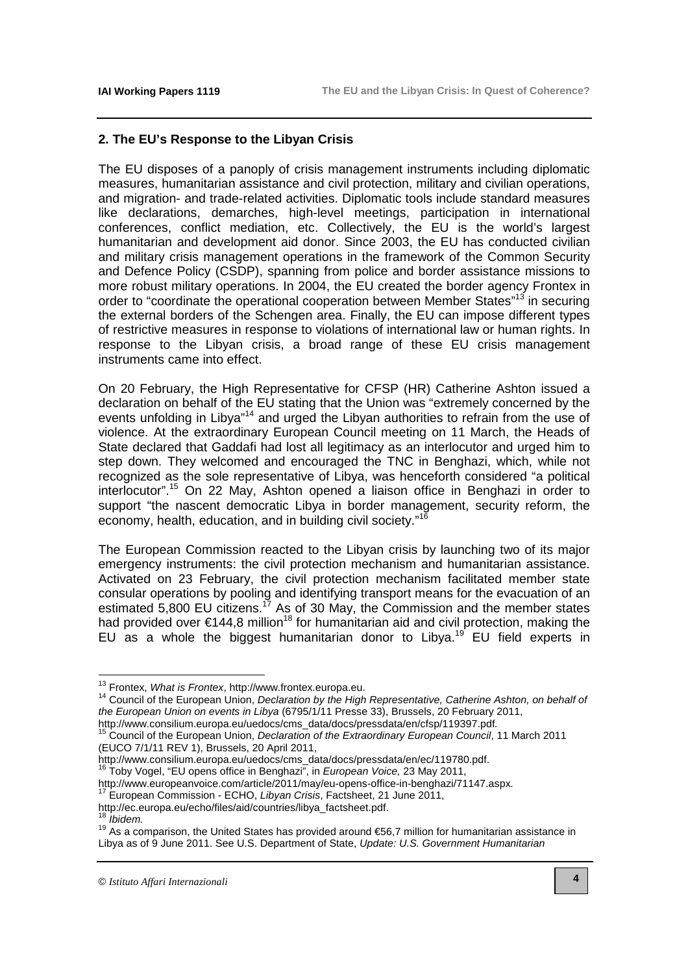# **2. The EU's Response to the Libyan Crisis**

The EU disposes of a panoply of crisis management instruments including diplomatic measures, humanitarian assistance and civil protection, military and civilian operations, and migration- and trade-related activities. Diplomatic tools include standard measures like declarations, demarches, high-level meetings, participation in international conferences, conflict mediation, etc. Collectively, the EU is the world's largest humanitarian and development aid donor. Since 2003, the EU has conducted civilian and military crisis management operations in the framework of the Common Security and Defence Policy (CSDP), spanning from police and border assistance missions to more robust military operations. In 2004, the EU created the border agency Frontex in order to "coordinate the operational cooperation between Member States"<sup>13</sup> in securing the external borders of the Schengen area. Finally, the EU can impose different types of restrictive measures in response to violations of international law or human rights. In response to the Libyan crisis, a broad range of these EU crisis management instruments came into effect.

On 20 February, the High Representative for CFSP (HR) Catherine Ashton issued a declaration on behalf of the EU stating that the Union was "extremely concerned by the events unfolding in Libya"<sup>14</sup> and urged the Libyan authorities to refrain from the use of violence. At the extraordinary European Council meeting on 11 March, the Heads of State declared that Gaddafi had lost all legitimacy as an interlocutor and urged him to step down. They welcomed and encouraged the TNC in Benghazi, which, while not recognized as the sole representative of Libya, was henceforth considered "a political interlocutor".<sup>15</sup> On 22 May, Ashton opened a liaison office in Benghazi in order to support "the nascent democratic Libya in border management, security reform, the economy, health, education, and in building civil society."<sup>16</sup>

The European Commission reacted to the Libyan crisis by launching two of its major emergency instruments: the civil protection mechanism and humanitarian assistance. Activated on 23 February, the civil protection mechanism facilitated member state consular operations by pooling and identifying transport means for the evacuation of an estimated 5,800 EU citizens.<sup>17</sup> As of 30 May, the Commission and the member states had provided over  $\epsilon$ 144,8 million<sup>18</sup> for humanitarian aid and civil protection, making the EU as a whole the biggest humanitarian donor to Libya.<sup>19</sup> EU field experts in

<sup>17</sup> European Commission - ECHO, Libyan Crisis, Factsheet, 21 June 2011,

 $\overline{\phantom{a}}$ 

<sup>&</sup>lt;sup>13</sup> Frontex, What is Frontex, [http://www.frontex.europa.eu.](http://www.frontex.europa.eu)

<sup>&</sup>lt;sup>14</sup> Council of the European Union, Declaration by the High Representative, Catherine Ashton, on behalf of the European Union on events in Libya (6795/1/11 Presse 33), Brussels, 20 February 2011, [http://www.consilium.europa.eu/uedocs/cms\\_data/docs/pressdata/en/cfsp/119397.pdf](http://www.consilium.europa.eu/uedocs/cms_data/docs/pressdata/en/cfsp/119397.pdf).

<sup>15</sup> Council of the European Union, Declaration of the Extraordinary European Council, 11 March 2011 (EUCO 7/1/11 REV 1), Brussels, 20 April 2011,

[http://www.consilium.europa.eu/uedocs/cms\\_data/docs/pressdata/en/ec/119780.pdf.](http://www.consilium.europa.eu/uedocs/cms_data/docs/pressdata/en/ec/119780.pdf) <sup>16</sup> Toby Vogel, "EU opens office in Benghazi", in *European Voice,* 23 May 2011,

[http://www.europeanvoice.com/article/2011/may/eu-opens-office-in-benghazi/71147.aspx.](http://www.europeanvoice.com/article/2011/may/eu-opens-office-in-benghazi/71147.aspx)

[http://ec.europa.eu/echo/files/aid/countries/libya\\_factsheet.pdf.](http://ec.europa.eu/echo/files/aid/countries/libya_factsheet.pdf)

**Ibidem** 

<sup>19</sup> As a comparison, the United States has provided around €56,7 million for humanitarian assistance in Libya as of 9 June 2011. See U.S. Department of State, Update: U.S. Government Humanitarian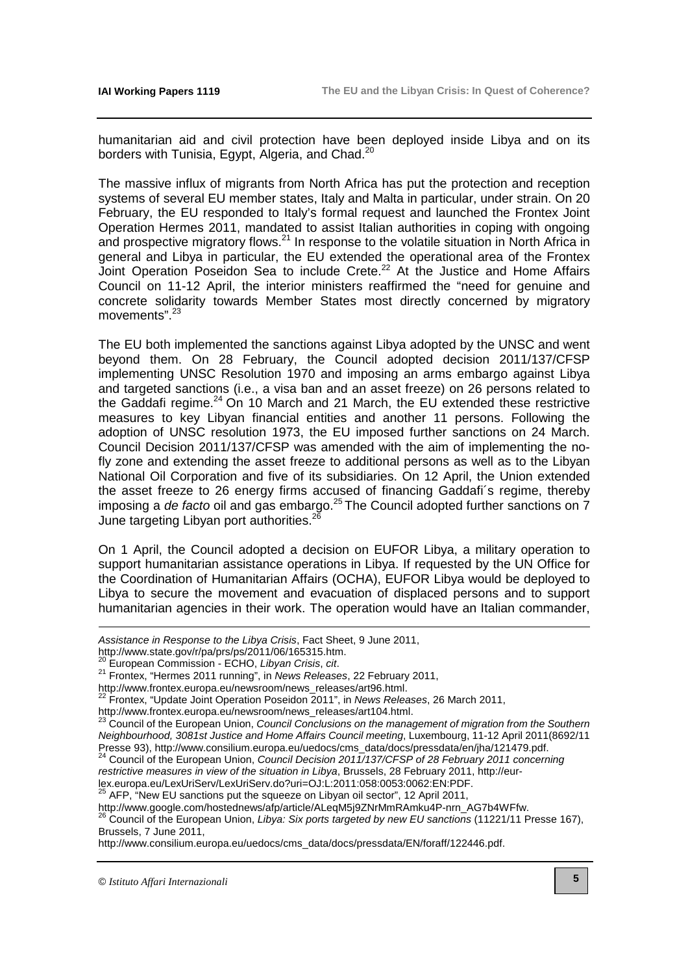humanitarian aid and civil protection have been deployed inside Libya and on its borders with Tunisia, Egypt, Algeria, and Chad.<sup>20</sup>

The massive influx of migrants from North Africa has put the protection and reception systems of several EU member states, Italy and Malta in particular, under strain. On 20 February, the EU responded to Italy's formal request and launched the Frontex Joint Operation Hermes 2011, mandated to assist Italian authorities in coping with ongoing and prospective migratory flows.<sup>21</sup> In response to the volatile situation in North Africa in general and Libya in particular, the EU extended the operational area of the Frontex Joint Operation Poseidon Sea to include Crete.<sup>22</sup> At the Justice and Home Affairs Council on 11-12 April, the interior ministers reaffirmed the "need for genuine and concrete solidarity towards Member States most directly concerned by migratory movements".<sup>23</sup>

The EU both implemented the sanctions against Libya adopted by the UNSC and went beyond them. On 28 February, the Council adopted decision 2011/137/CFSP implementing UNSC Resolution 1970 and imposing an arms embargo against Libya and targeted sanctions (i.e., a visa ban and an asset freeze) on 26 persons related to the Gaddafi regime.<sup>24</sup> On 10 March and 21 March, the EU extended these restrictive measures to key Libyan financial entities and another 11 persons. Following the adoption of UNSC resolution 1973, the EU imposed further sanctions on 24 March. Council Decision 2011/137/CFSP was amended with the aim of implementing the nofly zone and extending the asset freeze to additional persons as well as to the Libyan National Oil Corporation and five of its subsidiaries. On 12 April, the Union extended the asset freeze to 26 energy firms accused of financing Gaddafi´s regime, thereby imposing a de facto oil and gas embargo.<sup>25</sup> The Council adopted further sanctions on  $\overline{7}$ June targeting Libyan port authorities.<sup>2</sup>

On 1 April, the Council adopted a decision on EUFOR Libya, a military operation to support humanitarian assistance operations in Libya. If requested by the UN Office for the Coordination of Humanitarian Affairs (OCHA), EUFOR Libya would be deployed to Libya to secure the movement and evacuation of displaced persons and to support humanitarian agencies in their work. The operation would have an Italian commander,

[lex.europa.eu/LexUriServ/LexUriServ.do?uri=OJ:L:2011:058:0053:0062:EN:PDF.](http://eur-lex.europa.eu/LexUriServ/LexUriServ.do?uri=OJ:L:2011:058:0053:0062:EN:PDF) 

<sup>25</sup> AFP, "New EU sanctions put the squeeze on Libyan oil sector", 12 April 2011, [http://www.google.com/hostednews/afp/article/ALeqM5j9ZNrMmRAmku4P-nrn\\_AG7b4WFfw.](http://www.google.com/hostednews/afp/article/ALeqM5j9ZNrMmRAmku4P-nrn_AG7b4WFfw) 

 $^{26}$  Council of the European Union, Libya: Six ports targeted by new EU sanctions (11221/11 Presse 167), Brussels, 7 June 2011,

[http://www.consilium.europa.eu/uedocs/cms\\_data/docs/pressdata/EN/foraff/122446.pdf.](http://www.consilium.europa.eu/uedocs/cms_data/docs/pressdata/EN/foraff/122446.pdf) 

<u>.</u>

Assistance in Response to the Libya Crisis, Fact Sheet, 9 June 2011,

[http://www.state.gov/r/pa/prs/ps/2011/06/165315.htm.](http://www.state.gov/r/pa/prs/ps/2011/06/165315.htm) 

European Commission - ECHO, Libyan Crisis, cit.

<sup>&</sup>lt;sup>21</sup> Frontex, "Hermes 2011 running", in News Releases, 22 February 2011,

[http://www.frontex.europa.eu/newsroom/news\\_releases/art96.html.](http://www.frontex.europa.eu/newsroom/news_releases/art96.html) 

 $^{22}$  Frontex, "Update Joint Operation Poseidon  $2011$ ", in News Releases, 26 March 2011,

[http://www.frontex.europa.eu/newsroom/news\\_releases/art104.html.](http://www.frontex.europa.eu/newsroom/news_releases/art104.html) 

 $^{23}$  Council of the European Union, Council Conclusions on the management of migration from the Southern Neighbourhood, 3081st Justice and Home Affairs Council meeting, Luxembourg, 11-12 April 2011(8692/11 Presse 93), [http://www.consilium.europa.eu/uedocs/cms\\_data/docs/pressdata/en/jha/121479.pdf.](http://www.consilium.europa.eu/uedocs/cms_data/docs/pressdata/en/jha/121479.pdf) 

 $^{24}$  Council of the European Union, Council Decision 2011/137/CFSP of 28 February 2011 concerning restrictive measures in view of the situation in Libya, Brussels, 28 February 2011, http://eur-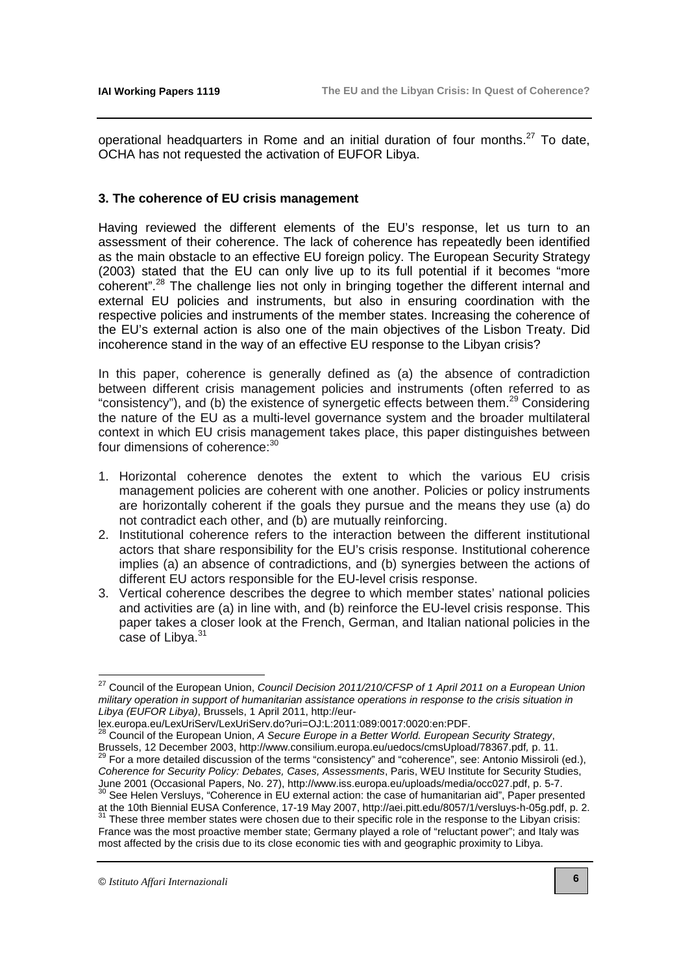operational headquarters in Rome and an initial duration of four months. $27$  To date. OCHA has not requested the activation of EUFOR Libya.

# **3. The coherence of EU crisis management**

Having reviewed the different elements of the EU's response, let us turn to an assessment of their coherence. The lack of coherence has repeatedly been identified as the main obstacle to an effective EU foreign policy. The European Security Strategy (2003) stated that the EU can only live up to its full potential if it becomes "more coherent".<sup>28</sup> The challenge lies not only in bringing together the different internal and external EU policies and instruments, but also in ensuring coordination with the respective policies and instruments of the member states. Increasing the coherence of the EU's external action is also one of the main objectives of the Lisbon Treaty. Did incoherence stand in the way of an effective EU response to the Libyan crisis?

In this paper, coherence is generally defined as (a) the absence of contradiction between different crisis management policies and instruments (often referred to as "consistency"), and (b) the existence of synergetic effects between them.<sup>29</sup> Considering the nature of the EU as a multi-level governance system and the broader multilateral context in which EU crisis management takes place, this paper distinguishes between four dimensions of coherence: 30

- 1. Horizontal coherence denotes the extent to which the various EU crisis management policies are coherent with one another. Policies or policy instruments are horizontally coherent if the goals they pursue and the means they use (a) do not contradict each other, and (b) are mutually reinforcing.
- 2. Institutional coherence refers to the interaction between the different institutional actors that share responsibility for the EU's crisis response. Institutional coherence implies (a) an absence of contradictions, and (b) synergies between the actions of different EU actors responsible for the EU-level crisis response.
- 3. Vertical coherence describes the degree to which member states' national policies and activities are (a) in line with, and (b) reinforce the EU-level crisis response. This paper takes a closer look at the French, German, and Italian national policies in the case of Libva.<sup>31</sup>

 $\overline{\phantom{a}}$ 

 $^{27}$  Council of the European Union, Council Decision 2011/210/CFSP of 1 April 2011 on a European Union military operation in support of humanitarian assistance operations in response to the crisis situation in Libya (EUFOR Libya), Brussels, 1 April 2011, http://eur-

[lex.europa.eu/LexUriServ/LexUriServ.do?uri=OJ:L:2011:089:0017:0020:en:PDF.](http://eur-lex.europa.eu/LexUriServ/LexUriServ.do?uri=OJ:L:2011:089:0017:0020:en:PDF)

Council of the European Union, A Secure Europe in a Better World. European Security Strategy, Brussels, 12 December 2003, <http://www.consilium.europa.eu/uedocs/cmsUpload/78367.pdf>, p. 11. <sup>29</sup> For a more detailed discussion of the terms "consistency" and "coherence", see: Antonio Missiroli (ed.), Coherence for Security Policy: Debates, Cases, Assessments, Paris, WEU Institute for Security Studies, June 2001 (Occasional Papers, No. 27), [http://www.iss.europa.eu/uploads/media/occ027.pdf,](http://www.iss.europa.eu/uploads/media/occ027.pdf) p. 5-7.

See Helen Versluys, "Coherence in EU external action: the case of humanitarian aid", Paper presented at the 10th Biennial EUSA Conference, 17-19 May 2007, [http://aei.pitt.edu/8057/1/versluys-h-05g.pdf,](http://aei.pitt.edu/8057/1/versluys-h-05g.pdf) p. 2.  $31$  These three member states were chosen due to their specific role in the response to the Libyan crisis:

France was the most proactive member state; Germany played a role of "reluctant power"; and Italy was most affected by the crisis due to its close economic ties with and geographic proximity to Libya.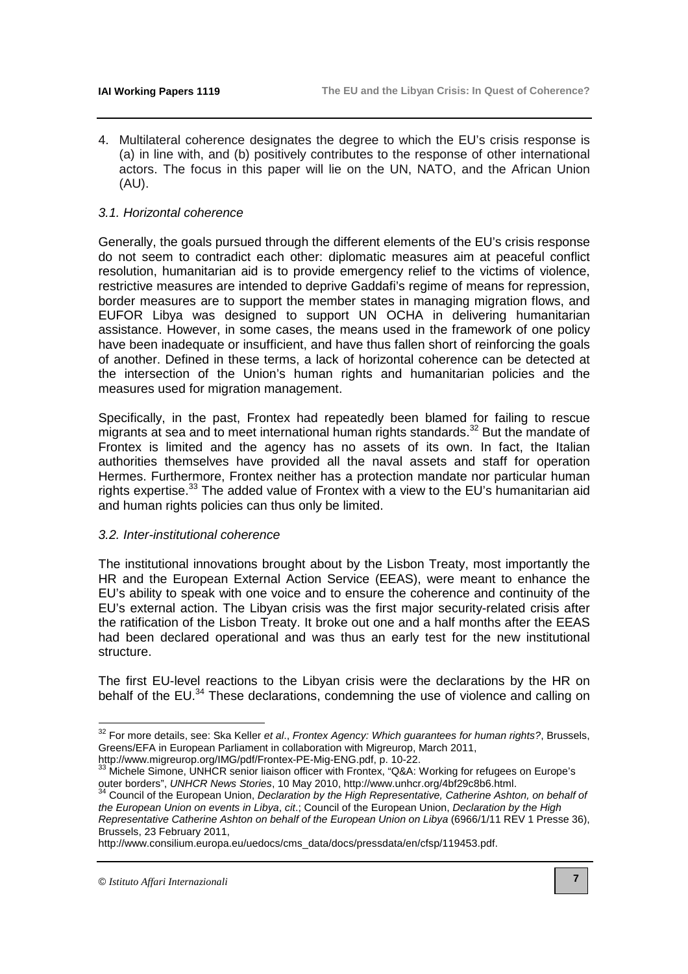4. Multilateral coherence designates the degree to which the EU's crisis response is (a) in line with, and (b) positively contributes to the response of other international actors. The focus in this paper will lie on the UN, NATO, and the African Union (AU).

## 3.1. Horizontal coherence

Generally, the goals pursued through the different elements of the EU's crisis response do not seem to contradict each other: diplomatic measures aim at peaceful conflict resolution, humanitarian aid is to provide emergency relief to the victims of violence, restrictive measures are intended to deprive Gaddafi's regime of means for repression, border measures are to support the member states in managing migration flows, and EUFOR Libya was designed to support UN OCHA in delivering humanitarian assistance. However, in some cases, the means used in the framework of one policy have been inadequate or insufficient, and have thus fallen short of reinforcing the goals of another. Defined in these terms, a lack of horizontal coherence can be detected at the intersection of the Union's human rights and humanitarian policies and the measures used for migration management.

Specifically, in the past, Frontex had repeatedly been blamed for failing to rescue migrants at sea and to meet international human rights standards.<sup>32</sup> But the mandate of Frontex is limited and the agency has no assets of its own. In fact, the Italian authorities themselves have provided all the naval assets and staff for operation Hermes. Furthermore, Frontex neither has a protection mandate nor particular human rights expertise.<sup>33</sup> The added value of Frontex with a view to the EU's humanitarian aid and human rights policies can thus only be limited.

#### 3.2. Inter-institutional coherence

The institutional innovations brought about by the Lisbon Treaty, most importantly the HR and the European External Action Service (EEAS), were meant to enhance the EU's ability to speak with one voice and to ensure the coherence and continuity of the EU's external action. The Libyan crisis was the first major security-related crisis after the ratification of the Lisbon Treaty. It broke out one and a half months after the EEAS had been declared operational and was thus an early test for the new institutional structure.

The first EU-level reactions to the Libyan crisis were the declarations by the HR on behalf of the EU.<sup>34</sup> These declarations, condemning the use of violence and calling on

[http://www.migreurop.org/IMG/pdf/Frontex-PE-Mig-ENG.pdf,](http://www.migreurop.org/IMG/pdf/Frontex-PE-Mig-ENG.pdf) p. 10-22.

 $32$  For more details, see: Ska Keller et al., Frontex Agency: Which guarantees for human rights?, Brussels, Greens/EFA in European Parliament in collaboration with Migreurop, March 2011,

 $33$  Michele Simone, UNHCR senior liaison officer with Frontex, "Q&A: Working for refugees on Europe's outer borders", UNHCR News Stories, 10 May 2010, [http://www.unhcr.org/4bf29c8b6.html.](http://www.unhcr.org/4bf29c8b6.html)<br><sup>34</sup> Council of the European United Council of the European United Council of the European United Council of the European United Co

Council of the European Union, Declaration by the High Representative, Catherine Ashton, on behalf of the European Union on events in Libya, cit.; Council of the European Union, Declaration by the High Representative Catherine Ashton on behalf of the European Union on Libya (6966/1/11 REV 1 Presse 36), Brussels, 23 February 2011,

[http://www.consilium.europa.eu/uedocs/cms\\_data/docs/pressdata/en/cfsp/119453.pdf.](http://www.consilium.europa.eu/uedocs/cms_data/docs/pressdata/en/cfsp/119453.pdf)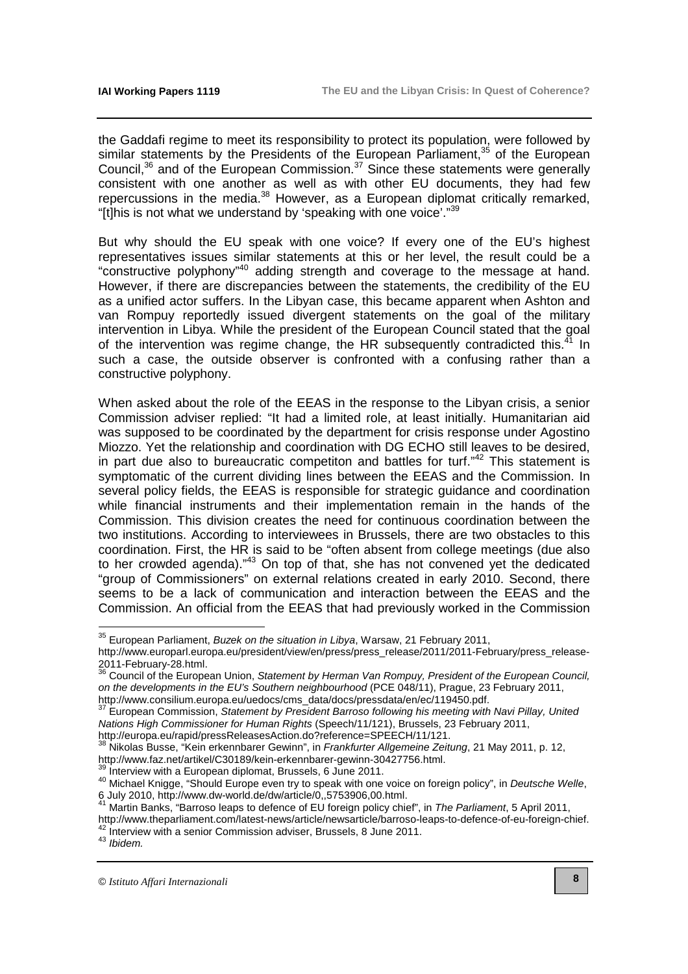the Gaddafi regime to meet its responsibility to protect its population, were followed by similar statements by the Presidents of the European Parliament, $35$  of the European Council,<sup>36</sup> and of the European Commission.<sup>37</sup> Since these statements were generally consistent with one another as well as with other EU documents, they had few repercussions in the media. $38$  However, as a European diplomat critically remarked, "[t]his is not what we understand by 'speaking with one voice'." $39$ 

But why should the EU speak with one voice? If every one of the EU's highest representatives issues similar statements at this or her level, the result could be a "constructive polyphony"<sup>40</sup> adding strength and coverage to the message at hand. However, if there are discrepancies between the statements, the credibility of the EU as a unified actor suffers. In the Libyan case, this became apparent when Ashton and van Rompuy reportedly issued divergent statements on the goal of the military intervention in Libya. While the president of the European Council stated that the goal of the intervention was regime change, the HR subsequently contradicted this. $^{4}$  In such a case, the outside observer is confronted with a confusing rather than a constructive polyphony.

When asked about the role of the EEAS in the response to the Libyan crisis, a senior Commission adviser replied: "It had a limited role, at least initially. Humanitarian aid was supposed to be coordinated by the department for crisis response under Agostino Miozzo. Yet the relationship and coordination with DG ECHO still leaves to be desired, in part due also to bureaucratic competiton and battles for turf." $42$  This statement is symptomatic of the current dividing lines between the EEAS and the Commission. In several policy fields, the EEAS is responsible for strategic guidance and coordination while financial instruments and their implementation remain in the hands of the Commission. This division creates the need for continuous coordination between the two institutions. According to interviewees in Brussels, there are two obstacles to this coordination. First, the HR is said to be "often absent from college meetings (due also to her crowded agenda)."<sup>43</sup> On top of that, she has not convened yet the dedicated "group of Commissioners" on external relations created in early 2010. Second, there seems to be a lack of communication and interaction between the EEAS and the Commission. An official from the EEAS that had previously worked in the Commission

http://europa.eu/rapid/pressReleasesAction.do?reference=SPEECH/11/121.

<sup>39</sup> Interview with a European diplomat, Brussels, 6 June 2011.

Martin Banks, "Barroso leaps to defence of EU foreign policy chief", in The Parliament, 5 April 2011,

<sup>43</sup> Ibidem.

 $35$  European Parliament, Buzek on the situation in Libya, Warsaw, 21 February 2011,

[http://www.europarl.europa.eu/president/view/en/press/press\\_release/2011/2011-February/press\\_release-](http://www.europarl.europa.eu/president/view/en/press/press_release/2011/2011-February/press_release-2011-February-28.html)2011-February-28.html.

<sup>&</sup>lt;sup>36</sup> Council of the European Union, Statement by Herman Van Rompuy, President of the European Council, on the developments in the EU's Southern neighbourhood (PCE 048/11), Prague, 23 February 2011, [http://www.consilium.europa.eu/uedocs/cms\\_data/docs/pressdata/en/ec/119450.pdf.](http://www.consilium.europa.eu/uedocs/cms_data/docs/pressdata/en/ec/119450.pdf)

 $37$  European Commission, Statement by President Barroso following his meeting with Navi Pillay, United Nations High Commissioner for Human Rights (Speech/11/121), Brussels, 23 February 2011,

Nikolas Busse, "Kein erkennbarer Gewinn", in Frankfurter Allgemeine Zeitung, 21 May 2011, p. 12, [http://www.faz.net/artikel/C30189/kein-erkennbarer-gewinn-30427756.html.](http://www.faz.net/artikel/C30189/kein-erkennbarer-gewinn-30427756.html) 

<sup>40</sup> Michael Knigge, "Should Europe even try to speak with one voice on foreign policy", in Deutsche Welle, 6 July 2010, [http://www.dw-world.de/dw/article/0,,5753906,00.html.](http://www.dw-world.de/dw/article/0,,5753906,00.html) 

[http://www.theparliament.com/latest-news/article/newsarticle/barroso-leaps-to-defence-of-eu-foreign-chief.](http://www.theparliament.com/latest-news/article/newsarticle/barroso-leaps-to-defence-of-eu-foreign-chief)  Aproximinal parameters and commission adviser, Brussels, 8 June 2011.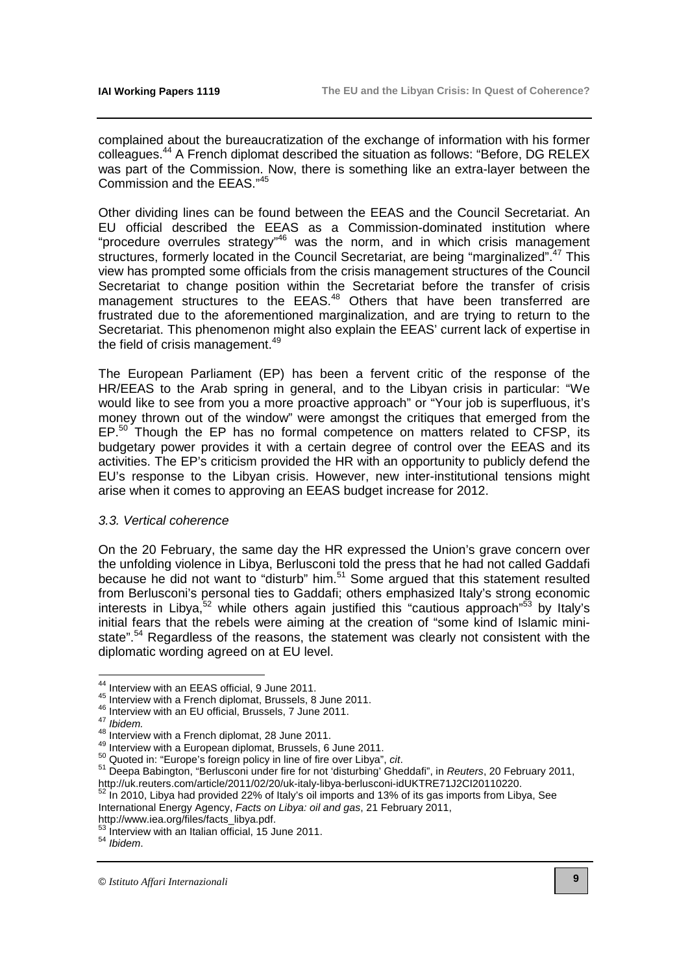complained about the bureaucratization of the exchange of information with his former colleagues.<sup>44</sup> A French diplomat described the situation as follows: "Before, DG RELEX was part of the Commission. Now, there is something like an extra-layer between the Commission and the EEAS."<sup>45</sup>

Other dividing lines can be found between the EEAS and the Council Secretariat. An EU official described the EEAS as a Commission-dominated institution where "procedure overrules strategy"<sup>46</sup> was the norm, and in which crisis management structures, formerly located in the Council Secretariat, are being "marginalized".<sup>47</sup> This view has prompted some officials from the crisis management structures of the Council Secretariat to change position within the Secretariat before the transfer of crisis management structures to the EEAS.<sup>48</sup> Others that have been transferred are frustrated due to the aforementioned marginalization, and are trying to return to the Secretariat. This phenomenon might also explain the EEAS' current lack of expertise in the field of crisis management.<sup>49</sup>

The European Parliament (EP) has been a fervent critic of the response of the HR/EEAS to the Arab spring in general, and to the Libyan crisis in particular: "We would like to see from you a more proactive approach" or "Your job is superfluous, it's money thrown out of the window" were amongst the critiques that emerged from the EP.<sup>50</sup> Though the EP has no formal competence on matters related to CFSP, its budgetary power provides it with a certain degree of control over the EEAS and its activities. The EP's criticism provided the HR with an opportunity to publicly defend the EU's response to the Libyan crisis. However, new inter-institutional tensions might arise when it comes to approving an EEAS budget increase for 2012.

#### 3.3. Vertical coherence

On the 20 February, the same day the HR expressed the Union's grave concern over the unfolding violence in Libya, Berlusconi told the press that he had not called Gaddafi because he did not want to "disturb" him.<sup>51</sup> Some argued that this statement resulted from Berlusconi's personal ties to Gaddafi; others emphasized Italy's strong economic interests in Libya, $52$  while others again justified this "cautious approach" $53$  by Italy's initial fears that the rebels were aiming at the creation of "some kind of Islamic ministate".<sup>54</sup> Regardless of the reasons, the statement was clearly not consistent with the diplomatic wording agreed on at EU level.

 $\overline{a}$ 

In 2010, Libya had provided 22% of Italy's oil imports and 13% of its gas imports from Libya, See International Energy Agency, Facts on Libya: oil and gas, 21 February 2011,

<sup>54</sup> Ibidem.

<sup>&</sup>lt;sup>44</sup> Interview with an EEAS official, 9 June 2011.

<sup>45</sup> Interview with a French diplomat, Brussels, 8 June 2011.

<sup>46</sup> Interview with an EU official, Brussels, 7 June 2011.

 $47$  Ibidem.

<sup>48</sup> Interview with a French diplomat, 28 June 2011.

<sup>49</sup> Interview with a European diplomat, Brussels, 6 June 2011.

 $50$  Quoted in: "Europe's foreign policy in line of fire over Libya", cit.

<sup>51</sup> Deepa Babington, "Berlusconi under fire for not 'disturbing' Gheddafi", in Reuters, 20 February 2011, http://uk.reuters.com/article/2011/02/20/uk-italy-libya-berlusconi-idUKTRE71J2Cl20110220.<br>
52 In 2010, Libya bed provided 00% (Althour Williams)

[http://www.iea.org/files/facts\\_libya.pdf.](http://www.iea.org/files/facts_libya.pdf) 

<sup>53</sup> Interview with an Italian official, 15 June 2011.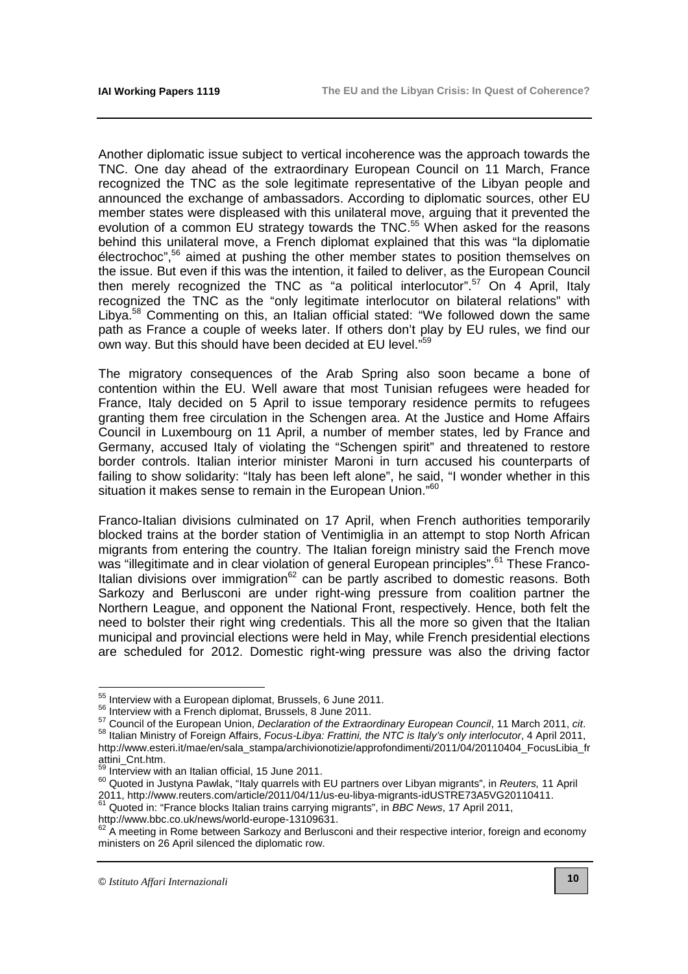Another diplomatic issue subject to vertical incoherence was the approach towards the TNC. One day ahead of the extraordinary European Council on 11 March, France recognized the TNC as the sole legitimate representative of the Libyan people and announced the exchange of ambassadors. According to diplomatic sources, other EU member states were displeased with this unilateral move, arguing that it prevented the evolution of a common EU strategy towards the TNC.<sup>55</sup> When asked for the reasons behind this unilateral move, a French diplomat explained that this was "la diplomatie  $\acute{\rm{e}}$  electrochoc",<sup>56</sup> aimed at pushing the other member states to position themselves on the issue. But even if this was the intention, it failed to deliver, as the European Council then merely recognized the TNC as "a political interlocutor".<sup>57</sup> On 4 April, Italy recognized the TNC as the "only legitimate interlocutor on bilateral relations" with Libya.<sup>58</sup> Commenting on this, an Italian official stated: "We followed down the same path as France a couple of weeks later. If others don't play by EU rules, we find our own way. But this should have been decided at EU level."<sup>59</sup>

The migratory consequences of the Arab Spring also soon became a bone of contention within the EU. Well aware that most Tunisian refugees were headed for France, Italy decided on 5 April to issue temporary residence permits to refugees granting them free circulation in the Schengen area. At the Justice and Home Affairs Council in Luxembourg on 11 April, a number of member states, led by France and Germany, accused Italy of violating the "Schengen spirit" and threatened to restore border controls. Italian interior minister Maroni in turn accused his counterparts of failing to show solidarity: "Italy has been left alone", he said, "I wonder whether in this situation it makes sense to remain in the European Union."<sup>60</sup>

Franco-Italian divisions culminated on 17 April, when French authorities temporarily blocked trains at the border station of Ventimiglia in an attempt to stop North African migrants from entering the country. The Italian foreign ministry said the French move was "illegitimate and in clear violation of general European principles".<sup>61</sup> These Franco-Italian divisions over immigration $62$  can be partly ascribed to domestic reasons. Both Sarkozy and Berlusconi are under right-wing pressure from coalition partner the Northern League, and opponent the National Front, respectively. Hence, both felt the need to bolster their right wing credentials. This all the more so given that the Italian municipal and provincial elections were held in May, while French presidential elections are scheduled for 2012. Domestic right-wing pressure was also the driving factor

[http://www.bbc.co.uk/news/world-europe-13109631.](http://www.bbc.co.uk/news/world-europe-13109631) 

 $55$  Interview with a European diplomat, Brussels, 6 June 2011.

<sup>&</sup>lt;sup>56</sup> Interview with a French diplomat, Brussels, 8 June 2011.

<sup>57</sup> Council of the European Union, Declaration of the Extraordinary European Council, 11 March 2011, cit. 58 Italian Ministry of Foreign Affairs, Focus-Libya: Frattini, the NTC is Italy's only interlocutor, 4 April 2011, [http://www.esteri.it/mae/en/sala\\_stampa/archivionotizie/approfondimenti/2011/04/20110404\\_FocusLibia\\_fr](http://www.esteri.it/mae/en/sala_stampa/archivionotizie/approfondimenti/2011/04/20110404_FocusLibia_fr) attini\_Cnt.htm.

<sup>&</sup>lt;sup>59</sup> Interview with an Italian official, 15 June 2011.

<sup>60</sup> Quoted in Justyna Pawlak, "Italy quarrels with EU partners over Libyan migrants", in Reuters, 11 April 2011, [http://www.reuters.com/article/2011/04/11/us-eu-libya-migrants-idUSTRE73A5VG20110411.](http://www.reuters.com/article/2011/04/11/us-eu-libya-migrants-idUSTRE73A5VG20110411) Quoted in: "France blocks Italian trains carrying migrants", in BBC News, 17 April 2011,

<sup>62</sup> A meeting in Rome between Sarkozy and Berlusconi and their respective interior, foreign and economy ministers on 26 April silenced the diplomatic row.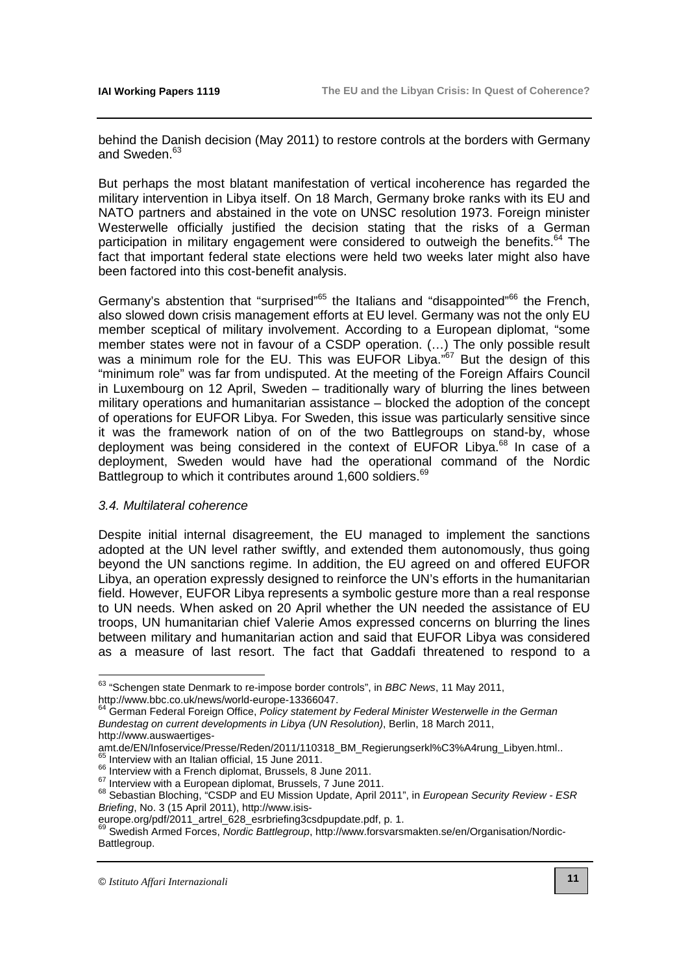behind the Danish decision (May 2011) to restore controls at the borders with Germany and Sweden.<sup>63</sup>

But perhaps the most blatant manifestation of vertical incoherence has regarded the military intervention in Libya itself. On 18 March, Germany broke ranks with its EU and NATO partners and abstained in the vote on UNSC resolution 1973. Foreign minister Westerwelle officially justified the decision stating that the risks of a German participation in military engagement were considered to outweigh the benefits.<sup>64</sup> The fact that important federal state elections were held two weeks later might also have been factored into this cost-benefit analysis.

Germany's abstention that "surprised"<sup>65</sup> the Italians and "disappointed"<sup>66</sup> the French, also slowed down crisis management efforts at EU level. Germany was not the only EU member sceptical of military involvement. According to a European diplomat, "some member states were not in favour of a CSDP operation. (…) The only possible result was a minimum role for the EU. This was EUFOR Libya."<sup>67</sup> But the design of this "minimum role" was far from undisputed. At the meeting of the Foreign Affairs Council in Luxembourg on 12 April, Sweden – traditionally wary of blurring the lines between military operations and humanitarian assistance – blocked the adoption of the concept of operations for EUFOR Libya. For Sweden, this issue was particularly sensitive since it was the framework nation of on of the two Battlegroups on stand-by, whose deployment was being considered in the context of EUFOR Libya.<sup>68</sup> In case of a deployment, Sweden would have had the operational command of the Nordic Battlegroup to which it contributes around 1,600 soldiers.<sup>69</sup>

# 3.4. Multilateral coherence

Despite initial internal disagreement, the EU managed to implement the sanctions adopted at the UN level rather swiftly, and extended them autonomously, thus going beyond the UN sanctions regime. In addition, the EU agreed on and offered EUFOR Libya, an operation expressly designed to reinforce the UN's efforts in the humanitarian field. However, EUFOR Libya represents a symbolic gesture more than a real response to UN needs. When asked on 20 April whether the UN needed the assistance of EU troops, UN humanitarian chief Valerie Amos expressed concerns on blurring the lines between military and humanitarian action and said that EUFOR Libya was considered as a measure of last resort. The fact that Gaddafi threatened to respond to a

 $\overline{\phantom{a}}$ 

 $^{63}$  "Schengen state Denmark to re-impose border controls", in BBC News, 11 May 2011, [http://www.bbc.co.uk/news/world-europe-13366047.](http://www.bbc.co.uk/news/world-europe-13366047) 

<sup>&</sup>lt;sup>64</sup> German Federal Foreign Office, Policy statement by Federal Minister Westerwelle in the German Bundestag on current developments in Libya (UN Resolution), Berlin, 18 March 2011,

http://www.auswaertiges-

[amt.de/EN/Infoservice/Presse/Reden/2011/110318\\_BM\\_Regierungserkl%C3%A4rung\\_Libyen.html..](http://www.auswaertiges-amt.de/EN/Infoservice/Presse/Reden/2011/110318_BM_Regierungserkl%C3%A4rung_Libyen.html)  <sup>65</sup> Interview with an Italian official, 15 June 2011.

<sup>&</sup>lt;sup>66</sup> Interview with a French diplomat, Brussels, 8 June 2011.

<sup>&</sup>lt;sup>67</sup> Interview with a European diplomat, Brussels, 7 June 2011.

<sup>&</sup>lt;sup>68</sup> Sebastian Bloching, "CSDP and EU Mission Update, April 2011", in *European Security Review - ESR* Briefing, No. 3 (15 April 2011), http://www.isis-

[europe.org/pdf/2011\\_artrel\\_628\\_esrbriefing3csdpupdate.pdf,](http://www.isis-europe.org/pdf/2011_artrel_628_esrbriefing3csdpupdate.pdf) p. 1.

<sup>69</sup> Swedish Armed Forces, Nordic Battlegroup[, http://www.forsvarsmakten.se/en/Organisation/Nordic-](http://www.forsvarsmakten.se/en/Organisation/Nordic-Battlegroup)Battlegroup.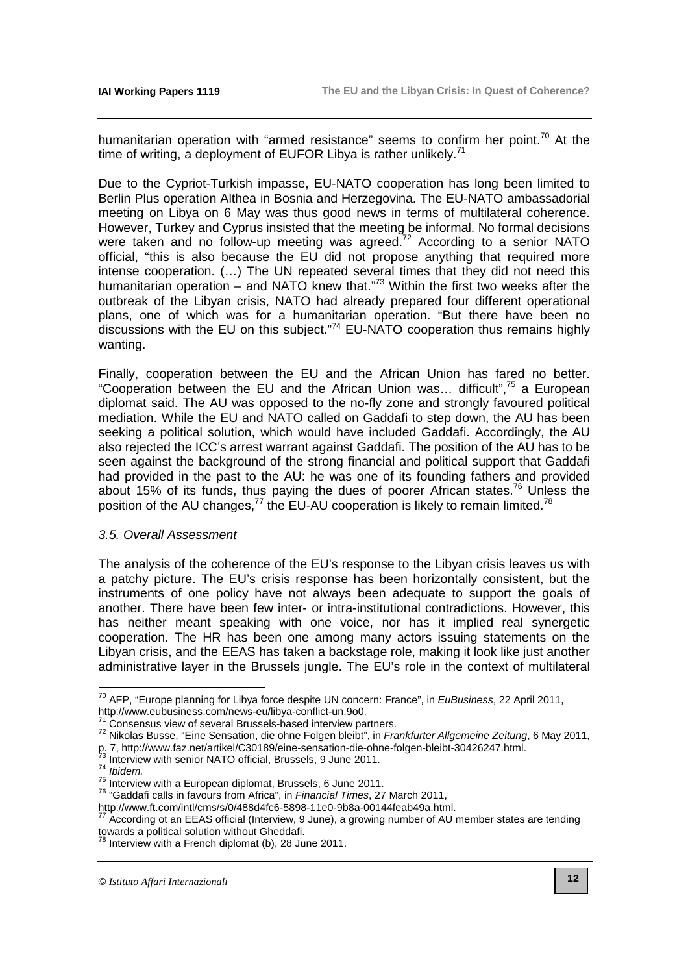humanitarian operation with "armed resistance" seems to confirm her point.<sup>70</sup> At the time of writing, a deployment of EUFOR Libya is rather unlikely.<sup>71</sup>

Due to the Cypriot-Turkish impasse, EU-NATO cooperation has long been limited to Berlin Plus operation Althea in Bosnia and Herzegovina. The EU-NATO ambassadorial meeting on Libya on 6 May was thus good news in terms of multilateral coherence. However, Turkey and Cyprus insisted that the meeting be informal. No formal decisions were taken and no follow-up meeting was agreed.<sup>72</sup> According to a senior NATO official, "this is also because the EU did not propose anything that required more intense cooperation. (…) The UN repeated several times that they did not need this humanitarian operation – and NATO knew that."<sup>73</sup> Within the first two weeks after the outbreak of the Libyan crisis, NATO had already prepared four different operational plans, one of which was for a humanitarian operation. "But there have been no discussions with the EU on this subject."<sup>74</sup> EU-NATO cooperation thus remains highly wanting.

Finally, cooperation between the EU and the African Union has fared no better. "Cooperation between the EU and the African Union was... difficult",<sup>75</sup> a European diplomat said. The AU was opposed to the no-fly zone and strongly favoured political mediation. While the EU and NATO called on Gaddafi to step down, the AU has been seeking a political solution, which would have included Gaddafi. Accordingly, the AU also rejected the ICC's arrest warrant against Gaddafi. The position of the AU has to be seen against the background of the strong financial and political support that Gaddafi had provided in the past to the AU: he was one of its founding fathers and provided about 15% of its funds, thus paying the dues of poorer African states.<sup>76</sup> Unless the position of the AU changes, $^{77}$  the EU-AU cooperation is likely to remain limited.<sup>78</sup>

# 3.5. Overall Assessment

The analysis of the coherence of the EU's response to the Libyan crisis leaves us with a patchy picture. The EU's crisis response has been horizontally consistent, but the instruments of one policy have not always been adequate to support the goals of another. There have been few inter- or intra-institutional contradictions. However, this has neither meant speaking with one voice, nor has it implied real synergetic cooperation. The HR has been one among many actors issuing statements on the Libyan crisis, and the EEAS has taken a backstage role, making it look like just another administrative layer in the Brussels jungle. The EU's role in the context of multilateral

 $^{70}$  AFP, "Europe planning for Libya force despite UN concern: France", in EuBusiness, 22 April 2011, [http://www.eubusiness.com/news-eu/libya-conflict-un.9o0.](http://www.eubusiness.com/news-eu/libya-conflict-un.9o0)

Consensus view of several Brussels-based interview partners.

<sup>72</sup> Nikolas Busse, "Eine Sensation, die ohne Folgen bleibt", in *Frankfurter Allgemeine Zeitung*, 6 May 2011,

p. 7, [http://www.faz.net/artikel/C30189/eine-sensation-die-ohne-folgen-bleibt-30426247.html.](http://www.faz.net/artikel/C30189/eine-sensation-die-ohne-folgen-bleibt-30426247.html)<br><sup>73</sup> Interview with a saise MATC of the Te

Interview with senior NATO official, Brussels, 9 June 2011.

<sup>74</sup> Ibidem.

<sup>75</sup> Interview with a European diplomat, Brussels, 6 June 2011.

<sup>&</sup>lt;sup>76</sup> "Gaddafi calls in favours from Africa", in Financial Times, 27 March 2011,

[http://www.ft.com/intl/cms/s/0/488d4fc6-5898-11e0-9b8a-00144feab49a.html.](http://www.ft.com/intl/cms/s/0/488d4fc6-5898-11e0-9b8a-00144feab49a.html) 

According ot an EEAS official (Interview, 9 June), a growing number of AU member states are tending towards a political solution without Gheddafi.

 $78$  Interview with a French diplomat (b), 28 June 2011.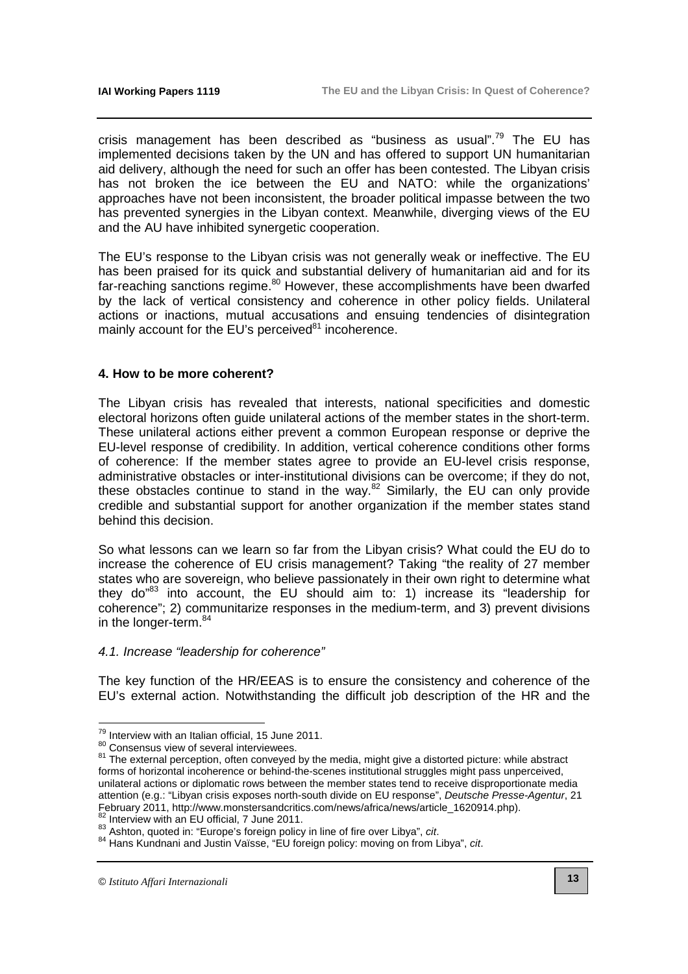crisis management has been described as "business as usual".<sup>79</sup> The EU has implemented decisions taken by the UN and has offered to support UN humanitarian aid delivery, although the need for such an offer has been contested. The Libyan crisis has not broken the ice between the EU and NATO: while the organizations' approaches have not been inconsistent, the broader political impasse between the two has prevented synergies in the Libyan context. Meanwhile, diverging views of the EU and the AU have inhibited synergetic cooperation.

The EU's response to the Libyan crisis was not generally weak or ineffective. The EU has been praised for its quick and substantial delivery of humanitarian aid and for its far-reaching sanctions regime.<sup>80</sup> However, these accomplishments have been dwarfed by the lack of vertical consistency and coherence in other policy fields. Unilateral actions or inactions, mutual accusations and ensuing tendencies of disintegration mainly account for the EU's perceived $81$  incoherence.

# **4. How to be more coherent?**

The Libyan crisis has revealed that interests, national specificities and domestic electoral horizons often guide unilateral actions of the member states in the short-term. These unilateral actions either prevent a common European response or deprive the EU-level response of credibility. In addition, vertical coherence conditions other forms of coherence: If the member states agree to provide an EU-level crisis response, administrative obstacles or inter-institutional divisions can be overcome; if they do not, these obstacles continue to stand in the way. $82$  Similarly, the EU can only provide credible and substantial support for another organization if the member states stand behind this decision.

So what lessons can we learn so far from the Libyan crisis? What could the EU do to increase the coherence of EU crisis management? Taking "the reality of 27 member states who are sovereign, who believe passionately in their own right to determine what they do"<sup>83</sup> into account, the EU should aim to: 1) increase its "leadership for coherence"; 2) communitarize responses in the medium-term, and 3) prevent divisions in the longer-term.<sup>84</sup>

# 4.1. Increase "leadership for coherence"

The key function of the HR/EEAS is to ensure the consistency and coherence of the EU's external action. Notwithstanding the difficult job description of the HR and the

<sup>&</sup>lt;sup>79</sup> Interview with an Italian official, 15 June 2011.

<sup>80</sup> Consensus view of several interviewees.

<sup>&</sup>lt;sup>81</sup> The external perception, often conveyed by the media, might give a distorted picture: while abstract forms of horizontal incoherence or behind-the-scenes institutional struggles might pass unperceived, unilateral actions or diplomatic rows between the member states tend to receive disproportionate media attention (e.g.: "Libyan crisis exposes north-south divide on EU response", Deutsche Presse-Agentur, 21 February 2011, http://www.monstersandcritics.com/news/africa/news/article\_1620914.php).

Interview with an EU official, 7 June 2011.

<sup>83</sup> Ashton, quoted in: "Europe's foreign policy in line of fire over Libya", cit.

<sup>84</sup> Hans Kundnani and Justin Vaïsse, "EU foreign policy: moving on from Libya", cit.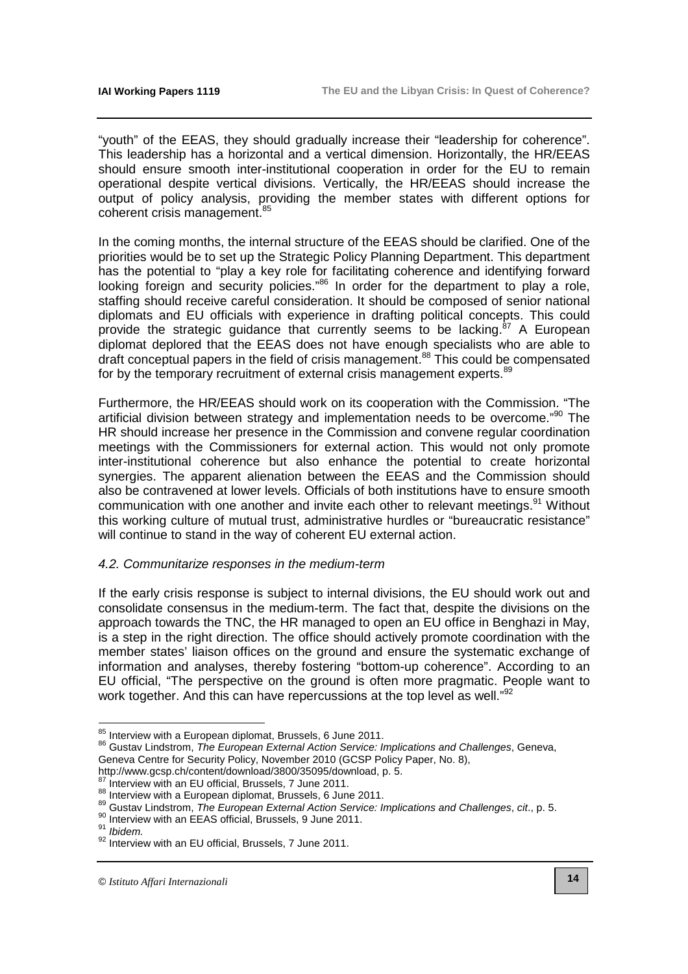"youth" of the EEAS, they should gradually increase their "leadership for coherence". This leadership has a horizontal and a vertical dimension. Horizontally, the HR/EEAS should ensure smooth inter-institutional cooperation in order for the EU to remain operational despite vertical divisions. Vertically, the HR/EEAS should increase the output of policy analysis, providing the member states with different options for coherent crisis management.<sup>85</sup>

In the coming months, the internal structure of the EEAS should be clarified. One of the priorities would be to set up the Strategic Policy Planning Department. This department has the potential to "play a key role for facilitating coherence and identifying forward looking foreign and security policies."<sup>86</sup> In order for the department to play a role, staffing should receive careful consideration. It should be composed of senior national diplomats and EU officials with experience in drafting political concepts. This could provide the strategic guidance that currently seems to be lacking. $87$  A European diplomat deplored that the EEAS does not have enough specialists who are able to draft conceptual papers in the field of crisis management.<sup>88</sup> This could be compensated for by the temporary recruitment of external crisis management experts.<sup>89</sup>

Furthermore, the HR/EEAS should work on its cooperation with the Commission. "The artificial division between strategy and implementation needs to be overcome."<sup>90</sup> The HR should increase her presence in the Commission and convene regular coordination meetings with the Commissioners for external action. This would not only promote inter-institutional coherence but also enhance the potential to create horizontal synergies. The apparent alienation between the EEAS and the Commission should also be contravened at lower levels. Officials of both institutions have to ensure smooth communication with one another and invite each other to relevant meetings.<sup>91</sup> Without this working culture of mutual trust, administrative hurdles or "bureaucratic resistance" will continue to stand in the way of coherent EU external action.

# 4.2. Communitarize responses in the medium-term

If the early crisis response is subject to internal divisions, the EU should work out and consolidate consensus in the medium-term. The fact that, despite the divisions on the approach towards the TNC, the HR managed to open an EU office in Benghazi in May, is a step in the right direction. The office should actively promote coordination with the member states' liaison offices on the ground and ensure the systematic exchange of information and analyses, thereby fostering "bottom-up coherence". According to an EU official, "The perspective on the ground is often more pragmatic. People want to work together. And this can have repercussions at the top level as well."<sup>92</sup>

 $85$  Interview with a European diplomat, Brussels, 6 June 2011.

<sup>86</sup> Gustav Lindstrom, The European External Action Service: Implications and Challenges, Geneva, Geneva Centre for Security Policy, November 2010 (GCSP Policy Paper, No. 8),

[http://www.gcsp.ch/content/download/3800/35095/download,](http://www.gcsp.ch/content/download/3800/35095/download) p. 5.

Interview with an EU official, Brussels, 7 June 2011.

<sup>88</sup> Interview with a European diplomat, Brussels, 6 June 2011.

<sup>89</sup> Gustav Lindstrom, The European External Action Service: Implications and Challenges, cit., p. 5.

<sup>90</sup> Interview with an EEAS official, Brussels, 9 June 2011.

<sup>&</sup>lt;sup>91</sup> Ibidem.

<sup>92</sup> Interview with an EU official, Brussels, 7 June 2011.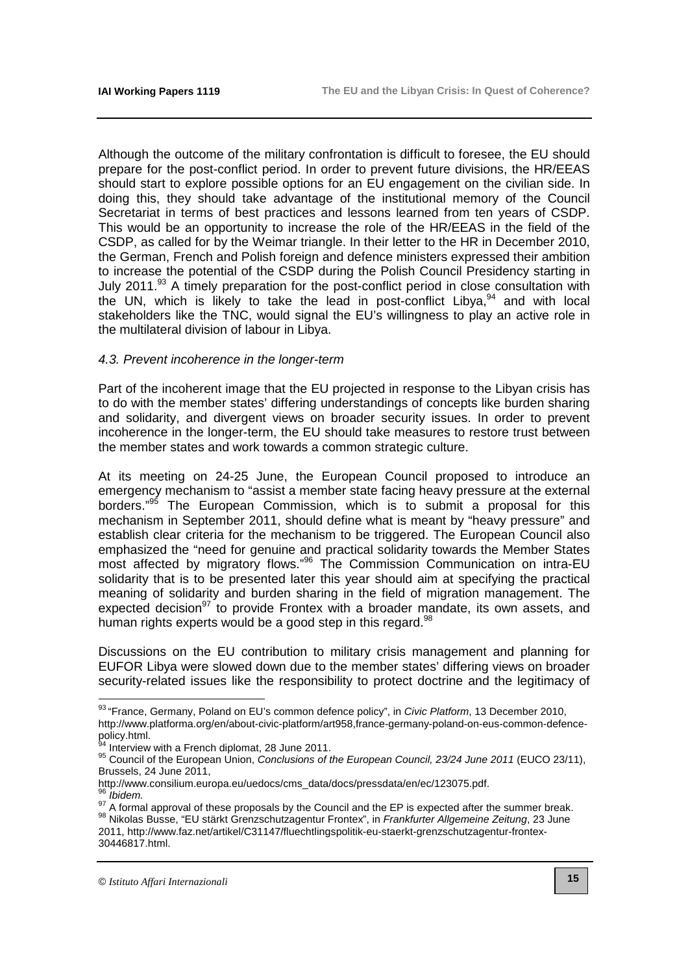Although the outcome of the military confrontation is difficult to foresee, the EU should prepare for the post-conflict period. In order to prevent future divisions, the HR/EEAS should start to explore possible options for an EU engagement on the civilian side. In doing this, they should take advantage of the institutional memory of the Council Secretariat in terms of best practices and lessons learned from ten years of CSDP. This would be an opportunity to increase the role of the HR/EEAS in the field of the CSDP, as called for by the Weimar triangle. In their letter to the HR in December 2010, the German, French and Polish foreign and defence ministers expressed their ambition to increase the potential of the CSDP during the Polish Council Presidency starting in July 2011.<sup>93</sup> A timely preparation for the post-conflict period in close consultation with the UN, which is likely to take the lead in post-conflict Libya,  $94$  and with local stakeholders like the TNC, would signal the EU's willingness to play an active role in the multilateral division of labour in Libya.

### 4.3. Prevent incoherence in the longer-term

Part of the incoherent image that the EU projected in response to the Libyan crisis has to do with the member states' differing understandings of concepts like burden sharing and solidarity, and divergent views on broader security issues. In order to prevent incoherence in the longer-term, the EU should take measures to restore trust between the member states and work towards a common strategic culture.

At its meeting on 24-25 June, the European Council proposed to introduce an emergency mechanism to "assist a member state facing heavy pressure at the external borders."<sup>95</sup> The European Commission, which is to submit a proposal for this mechanism in September 2011, should define what is meant by "heavy pressure" and establish clear criteria for the mechanism to be triggered. The European Council also emphasized the "need for genuine and practical solidarity towards the Member States most affected by migratory flows."<sup>96</sup> The Commission Communication on intra-EU solidarity that is to be presented later this year should aim at specifying the practical meaning of solidarity and burden sharing in the field of migration management. The expected decision<sup>97</sup> to provide Frontex with a broader mandate, its own assets, and human rights experts would be a good step in this regard. $98$ 

Discussions on the EU contribution to military crisis management and planning for EUFOR Libya were slowed down due to the member states' differing views on broader security-related issues like the responsibility to protect doctrine and the legitimacy of

 $\overline{\phantom{a}}$ 

<sup>&</sup>lt;sup>93</sup> "France, Germany, Poland on EU's common defence policy", in Civic Platform, 13 December 2010, [http://www.platforma.org/en/about-civic-platform/art958,france-germany-poland-on-eus-common-defence](http://www.platforma.org/en/about-civic-platform/art958,france-germany-poland-on-eus-common-defence-policy.html)policy.html.

Interview with a French diplomat, 28 June 2011.

<sup>&</sup>lt;sup>95</sup> Council of the European Union, *Conclusions of the European Council, 23/24 June 2011* (EUCO 23/11), Brussels, 24 June 2011,

[http://www.consilium.europa.eu/uedocs/cms\\_data/docs/pressdata/en/ec/123075.pdf.](http://www.consilium.europa.eu/uedocs/cms_data/docs/pressdata/en/ec/123075.pdf)

**Ibidem** 

g7 A formal approval of these proposals by the Council and the EP is expected after the summer break. 98 Nikolas Busse, "EU stärkt Grenzschutzagentur Frontex", in Frankfurter Allgemeine Zeitung, 23 June [2011, http://www.faz.net/artikel/C31147/fluechtlingspolitik-eu-staerkt-grenzschutzagentur-frontex-](http://www.faz.net/artikel/C31147/fluechtlingspolitik-eu-staerkt-grenzschutzagentur-frontex-30446817.html)30446817.html.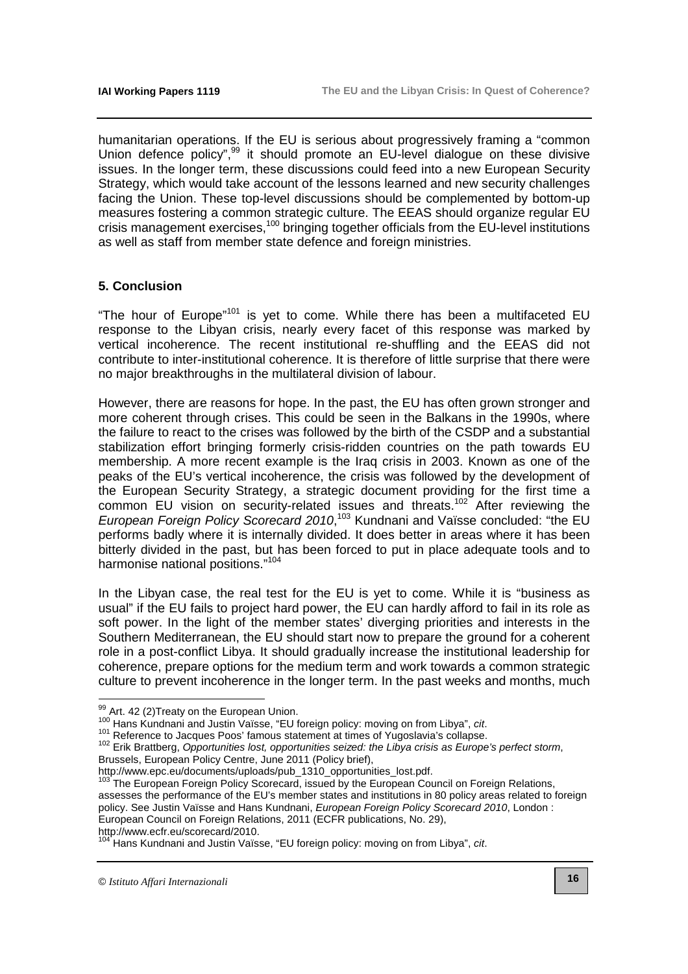humanitarian operations. If the EU is serious about progressively framing a "common Union defence policy",<sup>99</sup> it should promote an EU-level dialogue on these divisive issues. In the longer term, these discussions could feed into a new European Security Strategy, which would take account of the lessons learned and new security challenges facing the Union. These top-level discussions should be complemented by bottom-up measures fostering a common strategic culture. The EEAS should organize regular EU crisis management exercises,<sup>100</sup> bringing together officials from the EU-level institutions as well as staff from member state defence and foreign ministries.

# **5. Conclusion**

"The hour of Europe"<sup>101</sup> is yet to come. While there has been a multifaceted EU response to the Libyan crisis, nearly every facet of this response was marked by vertical incoherence. The recent institutional re-shuffling and the EEAS did not contribute to inter-institutional coherence. It is therefore of little surprise that there were no major breakthroughs in the multilateral division of labour.

However, there are reasons for hope. In the past, the EU has often grown stronger and more coherent through crises. This could be seen in the Balkans in the 1990s, where the failure to react to the crises was followed by the birth of the CSDP and a substantial stabilization effort bringing formerly crisis-ridden countries on the path towards EU membership. A more recent example is the Iraq crisis in 2003. Known as one of the peaks of the EU's vertical incoherence, the crisis was followed by the development of the European Security Strategy, a strategic document providing for the first time a common EU vision on security-related issues and threats.<sup>102</sup> After reviewing the European Foreign Policy Scorecard 2010,<sup>103</sup> Kundnani and Vaïsse concluded: "the EU performs badly where it is internally divided. It does better in areas where it has been bitterly divided in the past, but has been forced to put in place adequate tools and to harmonise national positions."<sup>104</sup>

In the Libyan case, the real test for the EU is yet to come. While it is "business as usual" if the EU fails to project hard power, the EU can hardly afford to fail in its role as soft power. In the light of the member states' diverging priorities and interests in the Southern Mediterranean, the EU should start now to prepare the ground for a coherent role in a post-conflict Libya. It should gradually increase the institutional leadership for coherence, prepare options for the medium term and work towards a common strategic culture to prevent incoherence in the longer term. In the past weeks and months, much

[http://www.ecfr.eu/scorecard/2010.](http://www.ecfr.eu/scorecard/2010) 

 $99$  Art. 42 (2) Treaty on the European Union.

<sup>100</sup> Hans Kundnani and Justin Vaïsse, "EU foreign policy: moving on from Libya", cit.

<sup>101</sup> Reference to Jacques Poos' famous statement at times of Yugoslavia's collapse.

<sup>102</sup> Erik Brattberg, Opportunities lost, opportunities seized: the Libya crisis as Europe's perfect storm, Brussels, European Policy Centre, June 2011 (Policy brief),

[http://www.epc.eu/documents/uploads/pub\\_1310\\_opportunities\\_lost.pdf.](http://www.epc.eu/documents/uploads/pub_1310_opportunities_lost.pdf)

<sup>&</sup>lt;sup>103</sup> The European Foreign Policy Scorecard, issued by the European Council on Foreign Relations, assesses the performance of the EU's member states and institutions in 80 policy areas related to foreign policy. See Justin Vaïsse and Hans Kundnani, European Foreign Policy Scorecard 2010, London : European Council on Foreign Relations, 2011 (ECFR publications, No. 29),

<sup>&</sup>lt;sup>104</sup> Hans Kundnani and Justin Vaïsse, "EU foreign policy: moving on from Libya", cit.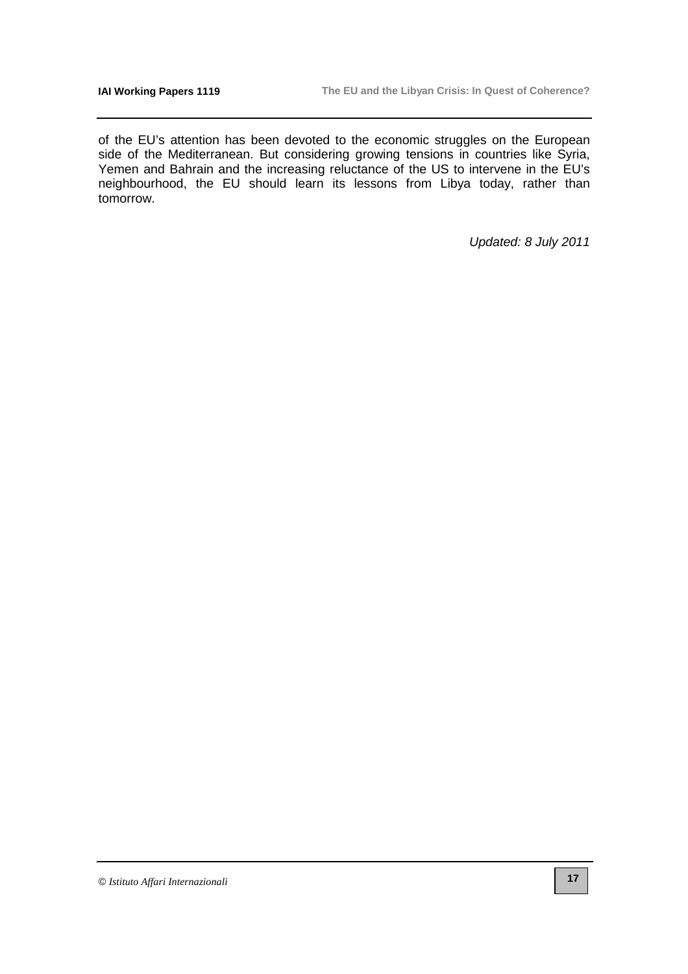of the EU's attention has been devoted to the economic struggles on the European side of the Mediterranean. But considering growing tensions in countries like Syria, Yemen and Bahrain and the increasing reluctance of the US to intervene in the EU's neighbourhood, the EU should learn its lessons from Libya today, rather than tomorrow.

Updated: 8 July 2011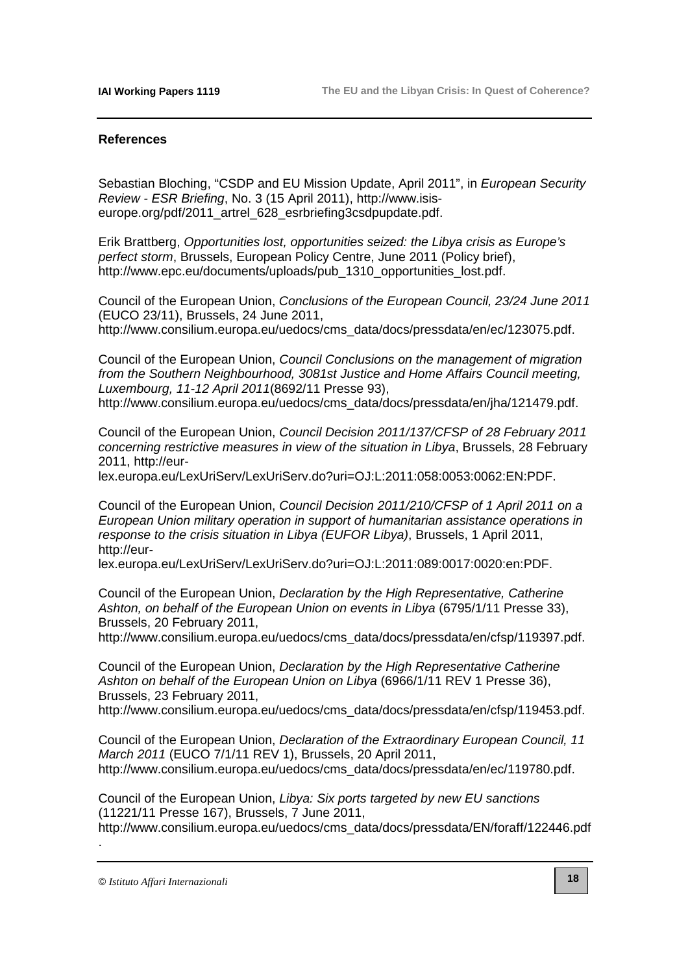### **References**

Sebastian Bloching, "CSDP and EU Mission Update, April 2011", in European Security Review - ESR Briefing, No. 3 (15 April 2011), http://www.isis[europe.org/pdf/2011\\_artrel\\_628\\_esrbriefing3csdpupdate.pdf.](http://www.isis-europe.org/pdf/2011_artrel_628_esrbriefing3csdpupdate.pdf)

Erik Brattberg, Opportunities lost, opportunities seized: the Libya crisis as Europe's perfect storm, Brussels, European Policy Centre, June 2011 (Policy brief), [http://www.epc.eu/documents/uploads/pub\\_1310\\_opportunities\\_lost.pdf.](http://www.epc.eu/documents/uploads/pub_1310_opportunities_lost.pdf) 

Council of the European Union, Conclusions of the European Council, 23/24 June 2011 (EUCO 23/11), Brussels, 24 June 2011, [http://www.consilium.europa.eu/uedocs/cms\\_data/docs/pressdata/en/ec/123075.pdf.](http://www.consilium.europa.eu/uedocs/cms_data/docs/pressdata/en/ec/123075.pdf)

Council of the European Union, Council Conclusions on the management of migration from the Southern Neighbourhood, 3081st Justice and Home Affairs Council meeting, Luxembourg, 11-12 April 2011(8692/11 Presse 93),

[http://www.consilium.europa.eu/uedocs/cms\\_data/docs/pressdata/en/jha/121479.pdf.](http://www.consilium.europa.eu/uedocs/cms_data/docs/pressdata/en/jha/121479.pdf)

Council of the European Union, Council Decision 2011/137/CFSP of 28 February 2011 concerning restrictive measures in view of the situation in Libya, Brussels, 28 February 2011, http://eur-

[lex.europa.eu/LexUriServ/LexUriServ.do?uri=OJ:L:2011:058:0053:0062:EN:PDF.](http://eur-lex.europa.eu/LexUriServ/LexUriServ.do?uri=OJ:L:2011:058:0053:0062:EN:PDF) 

Council of the European Union, Council Decision 2011/210/CFSP of 1 April 2011 on a European Union military operation in support of humanitarian assistance operations in response to the crisis situation in Libya (EUFOR Libya), Brussels, 1 April 2011, http://eur-

[lex.europa.eu/LexUriServ/LexUriServ.do?uri=OJ:L:2011:089:0017:0020:en:PDF.](http://eur-lex.europa.eu/LexUriServ/LexUriServ.do?uri=OJ:L:2011:089:0017:0020:en:PDF) 

Council of the European Union, Declaration by the High Representative, Catherine Ashton, on behalf of the European Union on events in Libya (6795/1/11 Presse 33), Brussels, 20 February 2011,

[http://www.consilium.europa.eu/uedocs/cms\\_data/docs/pressdata/en/cfsp/119397.pdf.](http://www.consilium.europa.eu/uedocs/cms_data/docs/pressdata/en/cfsp/119397.pdf)

Council of the European Union, Declaration by the High Representative Catherine Ashton on behalf of the European Union on Libya (6966/1/11 REV 1 Presse 36), Brussels, 23 February 2011,

[http://www.consilium.europa.eu/uedocs/cms\\_data/docs/pressdata/en/cfsp/119453.pdf.](http://www.consilium.europa.eu/uedocs/cms_data/docs/pressdata/en/cfsp/119453.pdf)

Council of the European Union, Declaration of the Extraordinary European Council, 11 March 2011 (EUCO 7/1/11 REV 1), Brussels, 20 April 2011, [http://www.consilium.europa.eu/uedocs/cms\\_data/docs/pressdata/en/ec/119780.pdf.](http://www.consilium.europa.eu/uedocs/cms_data/docs/pressdata/en/ec/119780.pdf)

Council of the European Union, Libya: Six ports targeted by new EU sanctions (11221/11 Presse 167), Brussels, 7 June 2011,

[http://www.consilium.europa.eu/uedocs/cms\\_data/docs/pressdata/EN/foraff/122446.pdf](http://www.consilium.europa.eu/uedocs/cms_data/docs/pressdata/EN/foraff/122446.pdf)

© *Istituto Affari Internazionali*

.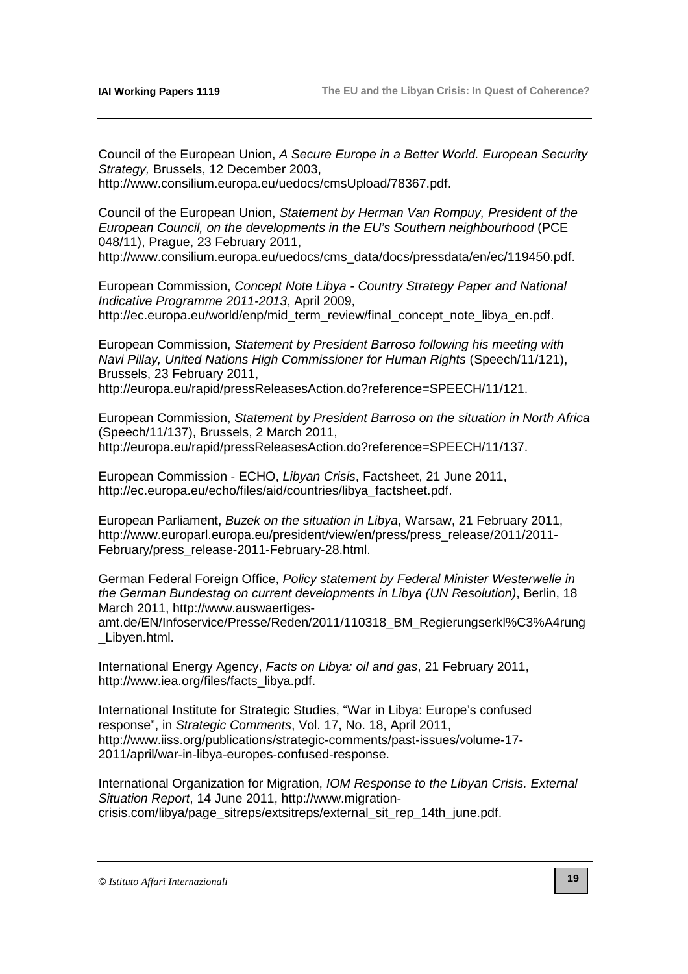Council of the European Union, A Secure Europe in a Better World. European Security Strategy, Brussels, 12 December 2003,

[http://www.consilium.europa.eu/uedocs/cmsUpload/78367.pdf.](http://www.consilium.europa.eu/uedocs/cmsUpload/78367.pdf)

Council of the European Union, Statement by Herman Van Rompuy, President of the European Council, on the developments in the EU's Southern neighbourhood (PCE 048/11), Prague, 23 February 2011,

[http://www.consilium.europa.eu/uedocs/cms\\_data/docs/pressdata/en/ec/119450.pdf.](http://www.consilium.europa.eu/uedocs/cms_data/docs/pressdata/en/ec/119450.pdf)

European Commission, Concept Note Libya - Country Strategy Paper and National Indicative Programme 2011-2013, April 2009, [http://ec.europa.eu/world/enp/mid\\_term\\_review/final\\_concept\\_note\\_libya\\_en.pdf.](http://ec.europa.eu/world/enp/mid_term_review/final_concept_note_libya_en.pdf)

European Commission, Statement by President Barroso following his meeting with Navi Pillay, United Nations High Commissioner for Human Rights (Speech/11/121), Brussels, 23 February 2011,

[http://europa.eu/rapid/pressReleasesAction.do?reference=SPEECH/11/121.](http://europa.eu/rapid/pressReleasesAction.do?reference=SPEECH/11/121) 

European Commission, Statement by President Barroso on the situation in North Africa (Speech/11/137), Brussels, 2 March 2011, [http://europa.eu/rapid/pressReleasesAction.do?reference=SPEECH/11/137.](http://europa.eu/rapid/pressReleasesAction.do?reference=SPEECH/11/137) 

European Commission - ECHO, Libyan Crisis, Factsheet, 21 June 2011, [http://ec.europa.eu/echo/files/aid/countries/libya\\_factsheet.pdf.](http://ec.europa.eu/echo/files/aid/countries/libya_factsheet.pdf)

European Parliament, Buzek on the situation in Libya, Warsaw, 21 February 2011, [http://www.europarl.europa.eu/president/view/en/press/press\\_release/2011/2011-](http://www.europarl.europa.eu/president/view/en/press/press_release/2011/2011-February/press_release-2011-February-28.html) February/press\_release-2011-February-28.html.

German Federal Foreign Office, Policy statement by Federal Minister Westerwelle in the German Bundestag on current developments in Libya (UN Resolution), Berlin, 18 March 2011, http://www.auswaertiges-

[amt.de/EN/Infoservice/Presse/Reden/2011/110318\\_BM\\_Regierungserkl%C3%A4rung](http://www.auswaertiges-amt.de/EN/Infoservice/Presse/Reden/2011/110318_BM_Regierungserkl%C3%A4rung) \_Libyen.html.

International Energy Agency, Facts on Libya: oil and gas, 21 February 2011, http://www.iea.org/files/facts\_libya.pdf.

International Institute for Strategic Studies, "War in Libya: Europe's confused response", in Strategic Comments, Vol. 17, No. 18, April 2011, [http://www.iiss.org/publications/strategic-comments/past-issues/volume-17-](http://www.iiss.org/publications/strategic-comments/past-issues/volume-17-2011/april/war-in-libya-europes-confused-response) 2011/april/war-in-libya-europes-confused-response.

International Organization for Migration, IOM Response to the Libyan Crisis. External Situation Report, 14 June 2011, http://www.migration[crisis.com/libya/page\\_sitreps/extsitreps/external\\_sit\\_rep\\_14th\\_june.pdf.](http://www.migration-crisis.com/libya/page_sitreps/extsitreps/external_sit_rep_14th_june.pdf)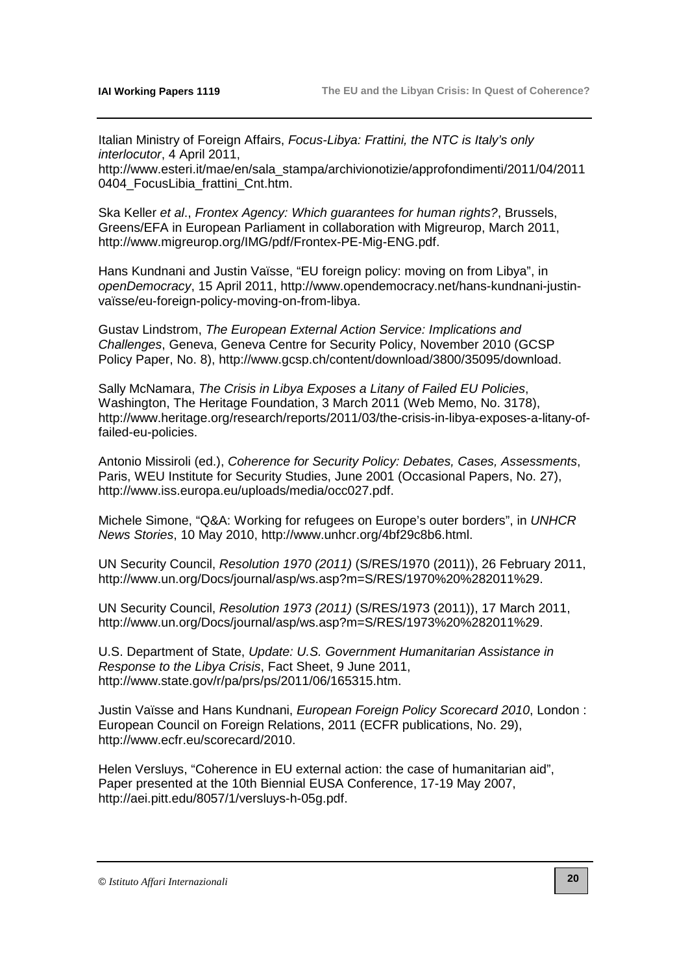Italian Ministry of Foreign Affairs, Focus-Libya: Frattini, the NTC is Italy's only interlocutor, 4 April 2011,

[http://www.esteri.it/mae/en/sala\\_stampa/archivionotizie/approfondimenti/2011/04/2011](http://www.esteri.it/mae/en/sala_stampa/archivionotizie/approfondimenti/2011/04/2011) 0404 FocusLibia frattini Cnt.htm.

Ska Keller et al., Frontex Agency: Which guarantees for human rights?, Brussels, Greens/EFA in European Parliament in collaboration with Migreurop, March 2011, [http://www.migreurop.org/IMG/pdf/Frontex-PE-Mig-ENG.pdf.](http://www.migreurop.org/IMG/pdf/Frontex-PE-Mig-ENG.pdf)

Hans Kundnani and Justin Vaïsse, "EU foreign policy: moving on from Libya", in openDemocracy[, 15 April 2011, http://www.opendemocracy.net/hans-kundnani-justin](http://www.opendemocracy.net/hans-kundnani-justin-va�sse/eu-foreign-policy-moving-on-from-libya)vaïsse/eu-foreign-policy-moving-on-from-libya.

Gustav Lindstrom, The European External Action Service: Implications and Challenges, Geneva, Geneva Centre for Security Policy, November 2010 (GCSP Policy Paper, No. 8), [http://www.gcsp.ch/content/download/3800/35095/download.](http://www.gcsp.ch/content/download/3800/35095/download) 

Sally McNamara, The Crisis in Libya Exposes a Litany of Failed EU Policies, Washington, The Heritage Foundation, 3 March 2011 (Web Memo, No. 3178), [http://www.heritage.org/research/reports/2011/03/the-crisis-in-libya-exposes-a-litany-of](http://www.heritage.org/research/reports/2011/03/the-crisis-in-libya-exposes-a-litany-of-failed-eu-policies)failed-eu-policies.

Antonio Missiroli (ed.), Coherence for Security Policy: Debates, Cases, Assessments, Paris, WEU Institute for Security Studies, June 2001 (Occasional Papers, No. 27), [http://www.iss.europa.eu/uploads/media/occ027.pdf.](http://www.iss.europa.eu/uploads/media/occ027.pdf) 

Michele Simone, "Q&A: Working for refugees on Europe's outer borders", in UNHCR News Stories, 10 May 2010, [http://www.unhcr.org/4bf29c8b6.html.](http://www.unhcr.org/4bf29c8b6.html)

UN Security Council, Resolution 1970 (2011) (S/RES/1970 (2011)), 26 February 2011, [http://www.un.org/Docs/journal/asp/ws.asp?m=S/RES/1970%20%282011%29.](http://www.un.org/Docs/journal/asp/ws.asp?m=S/RES/1970%20%282011%29) 

UN Security Council, Resolution 1973 (2011) (S/RES/1973 (2011)), 17 March 2011, [http://www.un.org/Docs/journal/asp/ws.asp?m=S/RES/1973%20%282011%29.](http://www.un.org/Docs/journal/asp/ws.asp?m=S/RES/1973%20%282011%29) 

U.S. Department of State, Update: U.S. Government Humanitarian Assistance in Response to the Libya Crisis, Fact Sheet, 9 June 2011, [http://www.state.gov/r/pa/prs/ps/2011/06/165315.htm.](http://www.state.gov/r/pa/prs/ps/2011/06/165315.htm)

Justin Vaïsse and Hans Kundnani, European Foreign Policy Scorecard 2010, London : European Council on Foreign Relations, 2011 (ECFR publications, No. 29), [http://www.ecfr.eu/scorecard/2010.](http://www.ecfr.eu/scorecard/2010) 

Helen Versluys, "Coherence in EU external action: the case of humanitarian aid", Paper presented at the 10th Biennial EUSA Conference, 17-19 May 2007, [http://aei.pitt.edu/8057/1/versluys-h-05g.pdf.](http://aei.pitt.edu/8057/1/versluys-h-05g.pdf) 

#### © *Istituto Affari Internazionali*